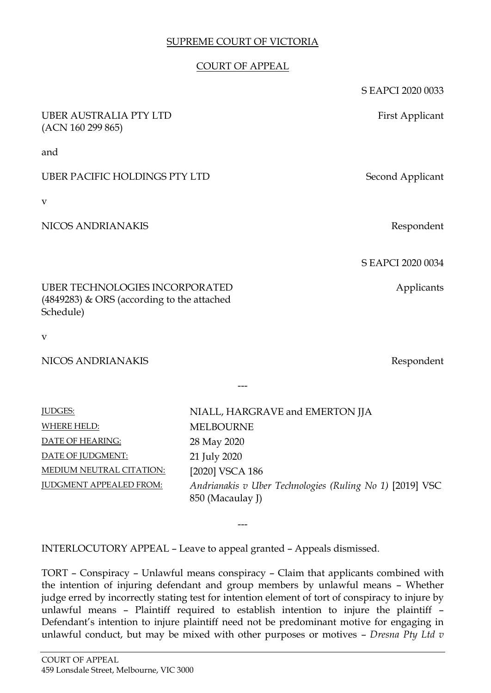## SUPREME COURT OF VICTORIA

## COURT OF APPEAL

|                                                                                                    |                  | S EAPCI 2020 0033               |
|----------------------------------------------------------------------------------------------------|------------------|---------------------------------|
| <b>UBER AUSTRALIA PTY LTD</b><br>(ACN 160 299 865)                                                 |                  | First Applicant                 |
| and                                                                                                |                  |                                 |
| <b>UBER PACIFIC HOLDINGS PTY LTD</b>                                                               |                  | Second Applicant                |
| v                                                                                                  |                  |                                 |
| NICOS ANDRIANAKIS                                                                                  |                  | Respondent                      |
|                                                                                                    |                  | S EAPCI 2020 0034               |
| <b>UBER TECHNOLOGIES INCORPORATED</b><br>$(4849283)$ & ORS (according to the attached<br>Schedule) |                  | Applicants                      |
| $\mathbf{V}$                                                                                       |                  |                                 |
| NICOS ANDRIANAKIS                                                                                  |                  | Respondent                      |
|                                                                                                    |                  |                                 |
| <b>JUDGES:</b>                                                                                     |                  | NIALL, HARGRAVE and EMERTON JJA |
| <b>WHERE HELD:</b>                                                                                 | <b>MELBOURNE</b> |                                 |
| DATE OF HEARING:                                                                                   | 28 May 2020      |                                 |
| DATE OF JUDGMENT:                                                                                  | 21 July 2020     |                                 |
| <b>MEDIUM NEUTRAL CITATION:</b>                                                                    | [2020] VSCA 186  |                                 |

JUDGMENT APPEALED FROM: *Andrianakis v Uber Technologies (Ruling No 1)* [2019] VSC 850 (Macaulay J)

INTERLOCUTORY APPEAL – Leave to appeal granted – Appeals dismissed.

TORT – Conspiracy – Unlawful means conspiracy – Claim that applicants combined with the intention of injuring defendant and group members by unlawful means – Whether judge erred by incorrectly stating test for intention element of tort of conspiracy to injure by unlawful means – Plaintiff required to establish intention to injure the plaintiff – Defendant's intention to injure plaintiff need not be predominant motive for engaging in unlawful conduct, but may be mixed with other purposes or motives – *Dresna Pty Ltd v* 

---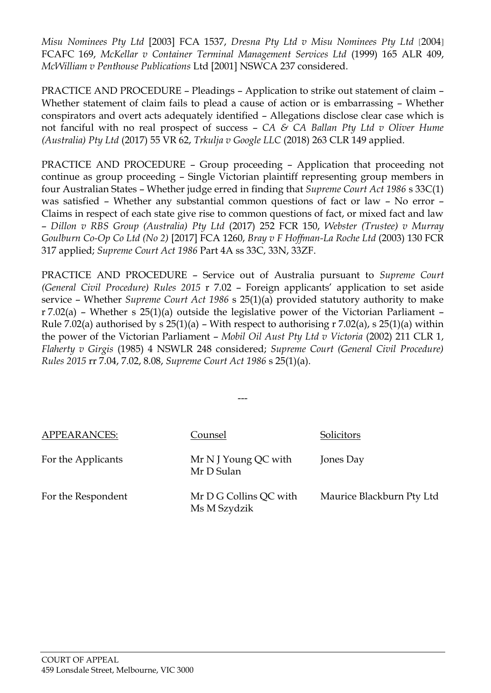*Misu Nominees Pty Ltd* [2003] FCA 1537, *Dresna Pty Ltd v Misu Nominees Pty Ltd* [2004] FCAFC 169, *McKellar v Container Terminal Management Services Ltd* (1999) 165 ALR 409, *McWilliam v Penthouse Publications* Ltd [2001] NSWCA 237 considered.

PRACTICE AND PROCEDURE – Pleadings – Application to strike out statement of claim – Whether statement of claim fails to plead a cause of action or is embarrassing – Whether conspirators and overt acts adequately identified – Allegations disclose clear case which is not fanciful with no real prospect of success – *CA & CA Ballan Pty Ltd v Oliver Hume (Australia) Pty Ltd* (2017) 55 VR 62, *Trkulja v Google LLC* (2018) 263 CLR 149 applied.

PRACTICE AND PROCEDURE – Group proceeding – Application that proceeding not continue as group proceeding – Single Victorian plaintiff representing group members in four Australian States – Whether judge erred in finding that *Supreme Court Act 1986* s 33C(1) was satisfied – Whether any substantial common questions of fact or law – No error – Claims in respect of each state give rise to common questions of fact, or mixed fact and law – *Dillon v RBS Group (Australia) Pty Ltd* (2017) 252 FCR 150, *Webster (Trustee) v Murray Goulburn Co-Op Co Ltd (No 2)* [2017] FCA 1260, *Bray v F Hoffman-La Roche Ltd* (2003) 130 FCR 317 applied; *Supreme Court Act 1986* Part 4A ss 33C, 33N, 33ZF.

PRACTICE AND PROCEDURE – Service out of Australia pursuant to *Supreme Court (General Civil Procedure) Rules 2015* r 7.02 – Foreign applicants' application to set aside service – Whether *Supreme Court Act 1986* s 25(1)(a) provided statutory authority to make r 7.02(a) – Whether s 25(1)(a) outside the legislative power of the Victorian Parliament – Rule 7.02(a) authorised by s  $25(1)(a)$  – With respect to authorising r 7.02(a), s  $25(1)(a)$  within the power of the Victorian Parliament – *Mobil Oil Aust Pty Ltd v Victoria* (2002) 211 CLR 1, *Flaherty v Girgis* (1985) 4 NSWLR 248 considered; *Supreme Court (General Civil Procedure) Rules 2015* rr 7.04, 7.02, 8.08, *Supreme Court Act 1986* s 25(1)(a).

| APPEARANCES:       | Counsel                                | Solicitors                |
|--------------------|----------------------------------------|---------------------------|
| For the Applicants | Mr N J Young QC with<br>Mr D Sulan     | Jones Day                 |
| For the Respondent | Mr D G Collins QC with<br>Ms M Szydzik | Maurice Blackburn Pty Ltd |

---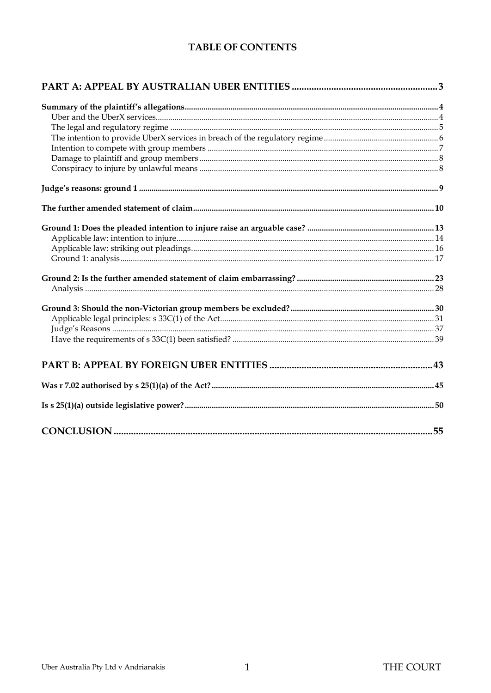# **TABLE OF CONTENTS**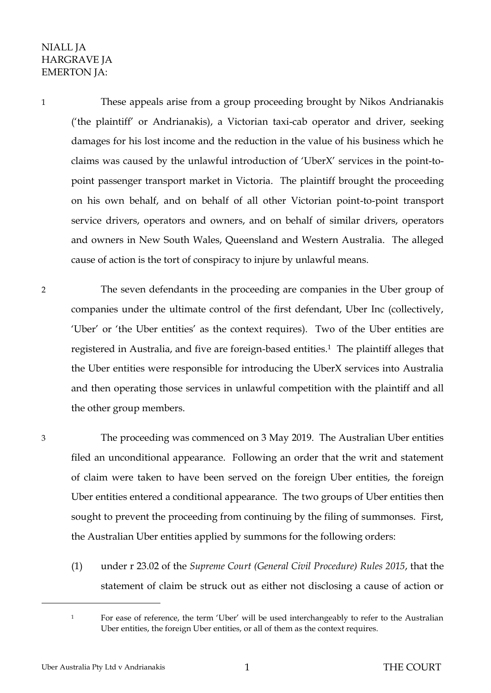# NIALL JA HARGRAVE JA EMERTON JA:

1 These appeals arise from a group proceeding brought by Nikos Andrianakis ('the plaintiff' or Andrianakis), a Victorian taxi-cab operator and driver, seeking damages for his lost income and the reduction in the value of his business which he claims was caused by the unlawful introduction of 'UberX' services in the point-topoint passenger transport market in Victoria. The plaintiff brought the proceeding on his own behalf, and on behalf of all other Victorian point-to-point transport service drivers, operators and owners, and on behalf of similar drivers, operators and owners in New South Wales, Queensland and Western Australia. The alleged cause of action is the tort of conspiracy to injure by unlawful means.

2 The seven defendants in the proceeding are companies in the Uber group of companies under the ultimate control of the first defendant, Uber Inc (collectively, 'Uber' or 'the Uber entities' as the context requires). Two of the Uber entities are registered in Australia, and five are foreign-based entities.<sup>1</sup> The plaintiff alleges that the Uber entities were responsible for introducing the UberX services into Australia and then operating those services in unlawful competition with the plaintiff and all the other group members.

 $\overline{a}$ 

3 The proceeding was commenced on 3 May 2019. The Australian Uber entities filed an unconditional appearance. Following an order that the writ and statement of claim were taken to have been served on the foreign Uber entities, the foreign Uber entities entered a conditional appearance. The two groups of Uber entities then sought to prevent the proceeding from continuing by the filing of summonses. First, the Australian Uber entities applied by summons for the following orders:

(1) under r 23.02 of the *Supreme Court (General Civil Procedure) Rules 2015*, that the statement of claim be struck out as either not disclosing a cause of action or

<sup>&</sup>lt;sup>1</sup> For ease of reference, the term 'Uber' will be used interchangeably to refer to the Australian Uber entities, the foreign Uber entities, or all of them as the context requires.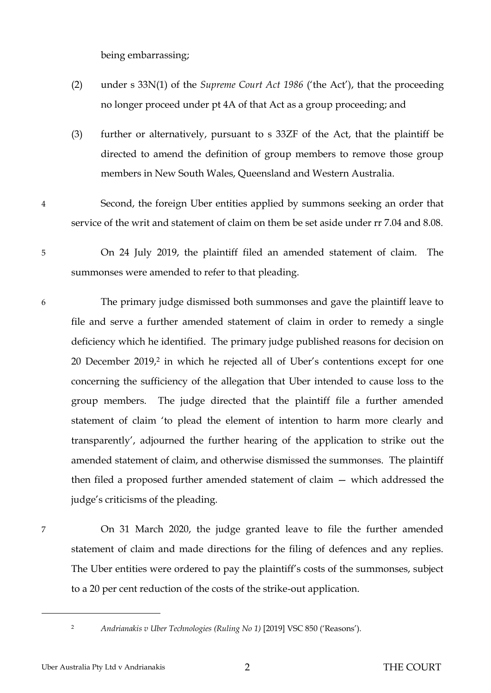being embarrassing;

- (2) under s 33N(1) of the *Supreme Court Act 1986* ('the Act'), that the proceeding no longer proceed under pt 4A of that Act as a group proceeding; and
- (3) further or alternatively, pursuant to s 33ZF of the Act, that the plaintiff be directed to amend the definition of group members to remove those group members in New South Wales, Queensland and Western Australia.
- 4 Second, the foreign Uber entities applied by summons seeking an order that service of the writ and statement of claim on them be set aside under rr 7.04 and 8.08.
- 5 On 24 July 2019, the plaintiff filed an amended statement of claim. The summonses were amended to refer to that pleading.
- 6 The primary judge dismissed both summonses and gave the plaintiff leave to file and serve a further amended statement of claim in order to remedy a single deficiency which he identified. The primary judge published reasons for decision on 20 December 2019, <sup>2</sup> in which he rejected all of Uber's contentions except for one concerning the sufficiency of the allegation that Uber intended to cause loss to the group members. The judge directed that the plaintiff file a further amended statement of claim 'to plead the element of intention to harm more clearly and transparently', adjourned the further hearing of the application to strike out the amended statement of claim, and otherwise dismissed the summonses. The plaintiff then filed a proposed further amended statement of claim — which addressed the judge's criticisms of the pleading.

 $\overline{a}$ 

7 On 31 March 2020, the judge granted leave to file the further amended statement of claim and made directions for the filing of defences and any replies. The Uber entities were ordered to pay the plaintiff's costs of the summonses, subject to a 20 per cent reduction of the costs of the strike-out application.

<sup>2</sup> *Andrianakis v Uber Technologies (Ruling No 1)* [2019] VSC 850 ('Reasons').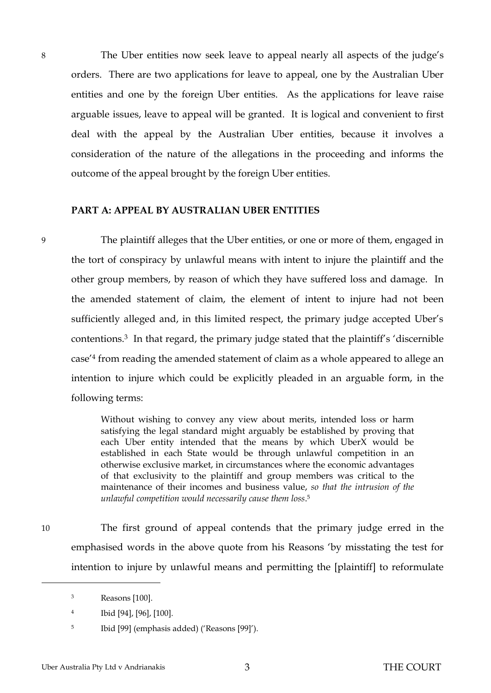8 The Uber entities now seek leave to appeal nearly all aspects of the judge's orders. There are two applications for leave to appeal, one by the Australian Uber entities and one by the foreign Uber entities. As the applications for leave raise arguable issues, leave to appeal will be granted. It is logical and convenient to first deal with the appeal by the Australian Uber entities, because it involves a consideration of the nature of the allegations in the proceeding and informs the outcome of the appeal brought by the foreign Uber entities.

#### <span id="page-5-0"></span>**PART A: APPEAL BY AUSTRALIAN UBER ENTITIES**

9 The plaintiff alleges that the Uber entities, or one or more of them, engaged in the tort of conspiracy by unlawful means with intent to injure the plaintiff and the other group members, by reason of which they have suffered loss and damage. In the amended statement of claim, the element of intent to injure had not been sufficiently alleged and, in this limited respect, the primary judge accepted Uber's contentions.<sup>3</sup> In that regard, the primary judge stated that the plaintiff's 'discernible case'<sup>4</sup> from reading the amended statement of claim as a whole appeared to allege an intention to injure which could be explicitly pleaded in an arguable form, in the following terms:

> Without wishing to convey any view about merits, intended loss or harm satisfying the legal standard might arguably be established by proving that each Uber entity intended that the means by which UberX would be established in each State would be through unlawful competition in an otherwise exclusive market, in circumstances where the economic advantages of that exclusivity to the plaintiff and group members was critical to the maintenance of their incomes and business value, *so that the intrusion of the unlawful competition would necessarily cause them loss*. 5

10 The first ground of appeal contends that the primary judge erred in the emphasised words in the above quote from his Reasons 'by misstating the test for intention to injure by unlawful means and permitting the [plaintiff] to reformulate

<sup>3</sup> Reasons [100].

<sup>4</sup> Ibid [94], [96], [100].

<sup>5</sup> Ibid [99] (emphasis added) ('Reasons [99]').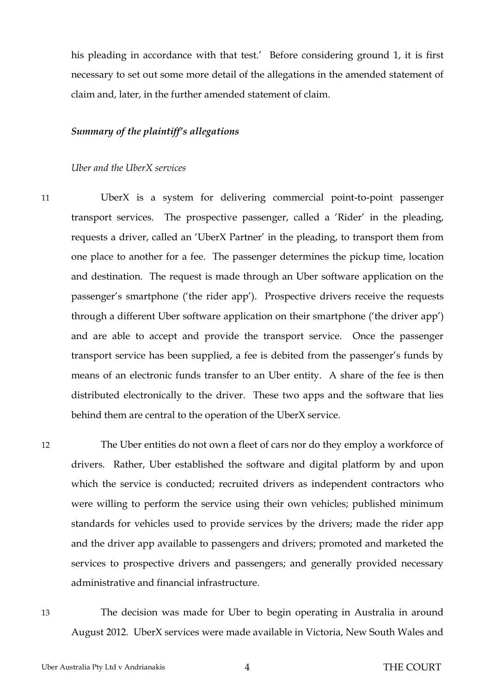his pleading in accordance with that test.' Before considering ground 1, it is first necessary to set out some more detail of the allegations in the amended statement of claim and, later, in the further amended statement of claim.

#### <span id="page-6-1"></span><span id="page-6-0"></span>*Summary of the plaintiff's allegations*

#### *Uber and the UberX services*

11 UberX is a system for delivering commercial point-to-point passenger transport services. The prospective passenger, called a 'Rider' in the pleading, requests a driver, called an 'UberX Partner' in the pleading, to transport them from one place to another for a fee. The passenger determines the pickup time, location and destination. The request is made through an Uber software application on the passenger's smartphone ('the rider app'). Prospective drivers receive the requests through a different Uber software application on their smartphone ('the driver app') and are able to accept and provide the transport service. Once the passenger transport service has been supplied, a fee is debited from the passenger's funds by means of an electronic funds transfer to an Uber entity. A share of the fee is then distributed electronically to the driver. These two apps and the software that lies behind them are central to the operation of the UberX service.

12 The Uber entities do not own a fleet of cars nor do they employ a workforce of drivers. Rather, Uber established the software and digital platform by and upon which the service is conducted; recruited drivers as independent contractors who were willing to perform the service using their own vehicles; published minimum standards for vehicles used to provide services by the drivers; made the rider app and the driver app available to passengers and drivers; promoted and marketed the services to prospective drivers and passengers; and generally provided necessary administrative and financial infrastructure.

13 The decision was made for Uber to begin operating in Australia in around August 2012. UberX services were made available in Victoria, New South Wales and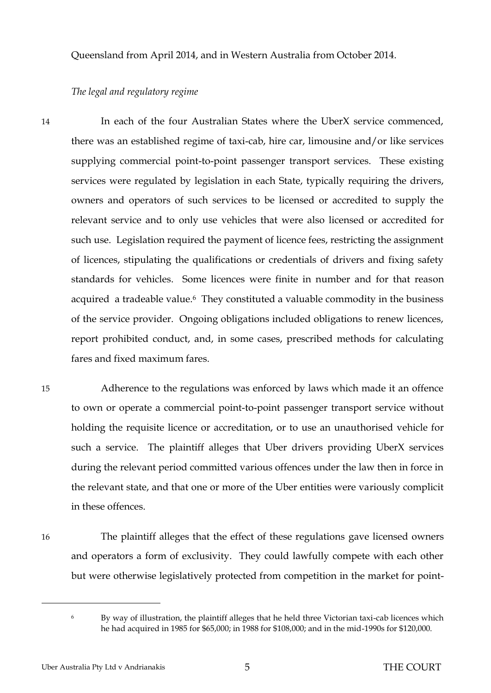<span id="page-7-0"></span>Queensland from April 2014, and in Western Australia from October 2014.

#### *The legal and regulatory regime*

14 In each of the four Australian States where the UberX service commenced, there was an established regime of taxi-cab, hire car, limousine and/or like services supplying commercial point-to-point passenger transport services. These existing services were regulated by legislation in each State, typically requiring the drivers, owners and operators of such services to be licensed or accredited to supply the relevant service and to only use vehicles that were also licensed or accredited for such use. Legislation required the payment of licence fees, restricting the assignment of licences, stipulating the qualifications or credentials of drivers and fixing safety standards for vehicles. Some licences were finite in number and for that reason acquired a tradeable value.<sup>6</sup> They constituted a valuable commodity in the business of the service provider. Ongoing obligations included obligations to renew licences, report prohibited conduct, and, in some cases, prescribed methods for calculating fares and fixed maximum fares.

15 Adherence to the regulations was enforced by laws which made it an offence to own or operate a commercial point-to-point passenger transport service without holding the requisite licence or accreditation, or to use an unauthorised vehicle for such a service. The plaintiff alleges that Uber drivers providing UberX services during the relevant period committed various offences under the law then in force in the relevant state, and that one or more of the Uber entities were variously complicit in these offences.

 $\overline{a}$ 

16 The plaintiff alleges that the effect of these regulations gave licensed owners and operators a form of exclusivity. They could lawfully compete with each other but were otherwise legislatively protected from competition in the market for point-

<sup>&</sup>lt;sup>6</sup> By way of illustration, the plaintiff alleges that he held three Victorian taxi-cab licences which he had acquired in 1985 for \$65,000; in 1988 for \$108,000; and in the mid-1990s for \$120,000.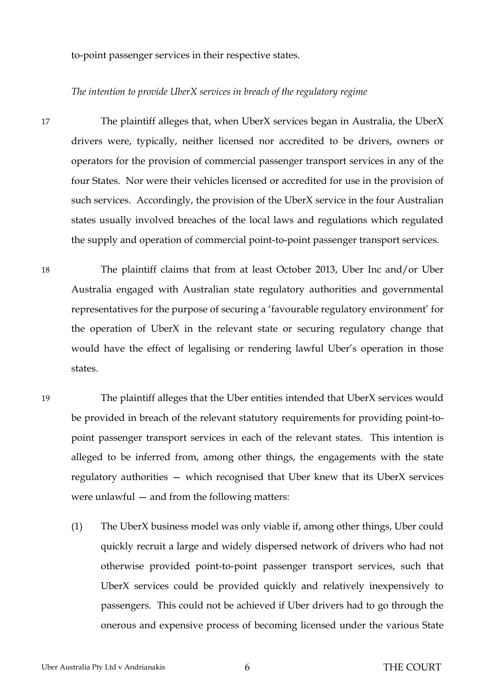<span id="page-8-0"></span>to-point passenger services in their respective states.

#### *The intention to provide UberX services in breach of the regulatory regime*

17 The plaintiff alleges that, when UberX services began in Australia, the UberX drivers were, typically, neither licensed nor accredited to be drivers, owners or operators for the provision of commercial passenger transport services in any of the four States. Nor were their vehicles licensed or accredited for use in the provision of such services. Accordingly, the provision of the UberX service in the four Australian states usually involved breaches of the local laws and regulations which regulated the supply and operation of commercial point-to-point passenger transport services.

18 The plaintiff claims that from at least October 2013, Uber Inc and/or Uber Australia engaged with Australian state regulatory authorities and governmental representatives for the purpose of securing a 'favourable regulatory environment' for the operation of UberX in the relevant state or securing regulatory change that would have the effect of legalising or rendering lawful Uber's operation in those states.

19 The plaintiff alleges that the Uber entities intended that UberX services would be provided in breach of the relevant statutory requirements for providing point-topoint passenger transport services in each of the relevant states. This intention is alleged to be inferred from, among other things, the engagements with the state regulatory authorities — which recognised that Uber knew that its UberX services were unlawful — and from the following matters:

(1) The UberX business model was only viable if, among other things, Uber could quickly recruit a large and widely dispersed network of drivers who had not otherwise provided point-to-point passenger transport services, such that UberX services could be provided quickly and relatively inexpensively to passengers. This could not be achieved if Uber drivers had to go through the onerous and expensive process of becoming licensed under the various State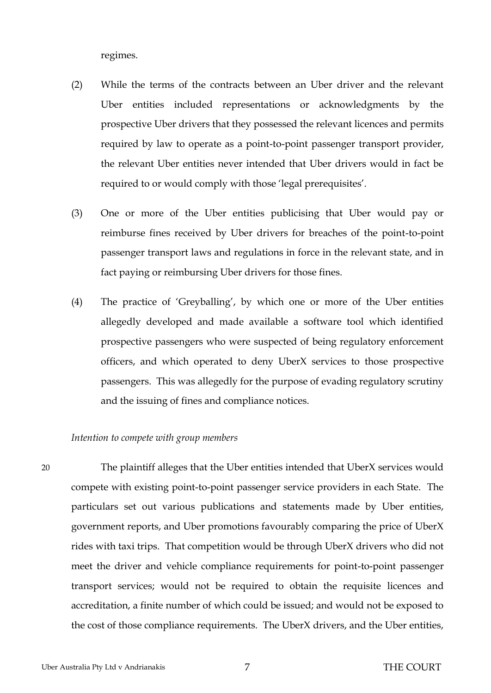regimes.

- (2) While the terms of the contracts between an Uber driver and the relevant Uber entities included representations or acknowledgments by the prospective Uber drivers that they possessed the relevant licences and permits required by law to operate as a point-to-point passenger transport provider, the relevant Uber entities never intended that Uber drivers would in fact be required to or would comply with those 'legal prerequisites'.
- (3) One or more of the Uber entities publicising that Uber would pay or reimburse fines received by Uber drivers for breaches of the point-to-point passenger transport laws and regulations in force in the relevant state, and in fact paying or reimbursing Uber drivers for those fines.
- (4) The practice of 'Greyballing', by which one or more of the Uber entities allegedly developed and made available a software tool which identified prospective passengers who were suspected of being regulatory enforcement officers, and which operated to deny UberX services to those prospective passengers. This was allegedly for the purpose of evading regulatory scrutiny and the issuing of fines and compliance notices.

#### <span id="page-9-0"></span>*Intention to compete with group members*

20 The plaintiff alleges that the Uber entities intended that UberX services would compete with existing point-to-point passenger service providers in each State. The particulars set out various publications and statements made by Uber entities, government reports, and Uber promotions favourably comparing the price of UberX rides with taxi trips. That competition would be through UberX drivers who did not meet the driver and vehicle compliance requirements for point-to-point passenger transport services; would not be required to obtain the requisite licences and accreditation, a finite number of which could be issued; and would not be exposed to the cost of those compliance requirements. The UberX drivers, and the Uber entities,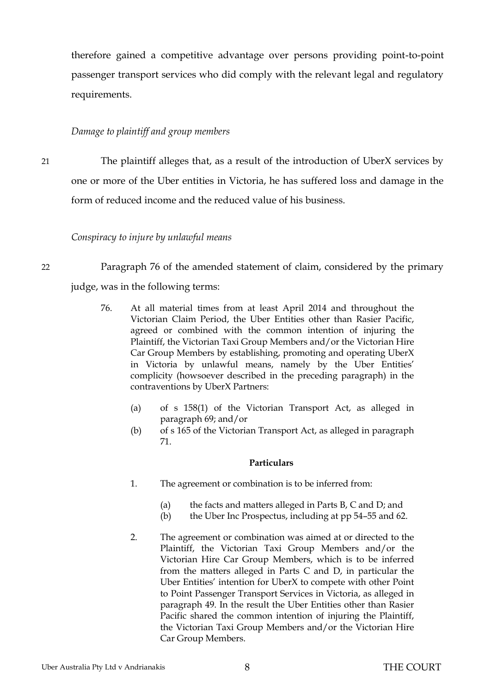therefore gained a competitive advantage over persons providing point-to-point passenger transport services who did comply with the relevant legal and regulatory requirements.

## <span id="page-10-0"></span>*Damage to plaintiff and group members*

21 The plaintiff alleges that, as a result of the introduction of UberX services by one or more of the Uber entities in Victoria, he has suffered loss and damage in the form of reduced income and the reduced value of his business.

<span id="page-10-1"></span>*Conspiracy to injure by unlawful means*

22 Paragraph 76 of the amended statement of claim, considered by the primary

judge, was in the following terms:

- 76. At all material times from at least April 2014 and throughout the Victorian Claim Period, the Uber Entities other than Rasier Pacific, agreed or combined with the common intention of injuring the Plaintiff, the Victorian Taxi Group Members and/or the Victorian Hire Car Group Members by establishing, promoting and operating UberX in Victoria by unlawful means, namely by the Uber Entities' complicity (howsoever described in the preceding paragraph) in the contraventions by UberX Partners:
	- (a) of s 158(1) of the Victorian Transport Act, as alleged in paragraph 69; and/or
	- (b) of s 165 of the Victorian Transport Act, as alleged in paragraph 71.

#### **Particulars**

- 1. The agreement or combination is to be inferred from:
	- (a) the facts and matters alleged in Parts B, C and D; and
	- (b) the Uber Inc Prospectus, including at pp 54–55 and 62.
- 2. The agreement or combination was aimed at or directed to the Plaintiff, the Victorian Taxi Group Members and/or the Victorian Hire Car Group Members, which is to be inferred from the matters alleged in Parts C and D, in particular the Uber Entities' intention for UberX to compete with other Point to Point Passenger Transport Services in Victoria, as alleged in paragraph 49. In the result the Uber Entities other than Rasier Pacific shared the common intention of injuring the Plaintiff, the Victorian Taxi Group Members and/or the Victorian Hire Car Group Members.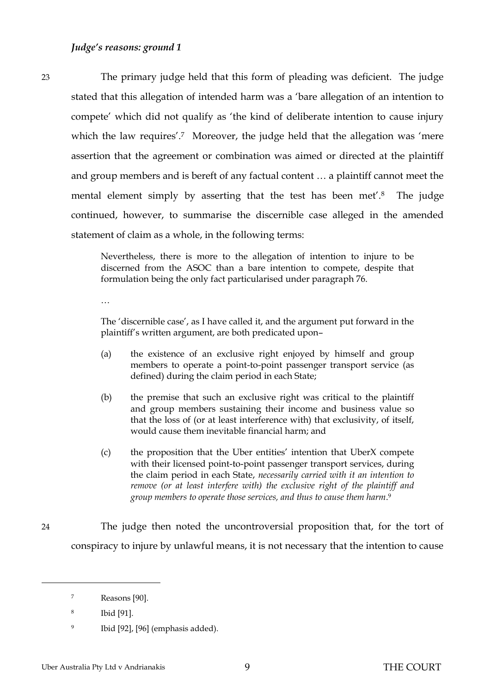<span id="page-11-0"></span>23 The primary judge held that this form of pleading was deficient. The judge stated that this allegation of intended harm was a 'bare allegation of an intention to compete' which did not qualify as 'the kind of deliberate intention to cause injury which the law requires'.<sup>7</sup> Moreover, the judge held that the allegation was 'mere assertion that the agreement or combination was aimed or directed at the plaintiff and group members and is bereft of any factual content … a plaintiff cannot meet the mental element simply by asserting that the test has been met'.<sup>8</sup> The judge continued, however, to summarise the discernible case alleged in the amended statement of claim as a whole, in the following terms:

> Nevertheless, there is more to the allegation of intention to injure to be discerned from the ASOC than a bare intention to compete, despite that formulation being the only fact particularised under paragraph 76.

…

The 'discernible case', as I have called it, and the argument put forward in the plaintiff's written argument, are both predicated upon–

- (a) the existence of an exclusive right enjoyed by himself and group members to operate a point-to-point passenger transport service (as defined) during the claim period in each State;
- (b) the premise that such an exclusive right was critical to the plaintiff and group members sustaining their income and business value so that the loss of (or at least interference with) that exclusivity, of itself, would cause them inevitable financial harm; and
- (c) the proposition that the Uber entities' intention that UberX compete with their licensed point-to-point passenger transport services, during the claim period in each State, *necessarily carried with it an intention to remove (or at least interfere with) the exclusive right of the plaintiff and group members to operate those services, and thus to cause them harm*. 9

24 The judge then noted the uncontroversial proposition that, for the tort of conspiracy to injure by unlawful means, it is not necessary that the intention to cause

<sup>7</sup> Reasons [90].

<sup>8</sup> Ibid [91].

<sup>9</sup> Ibid [92], [96] (emphasis added).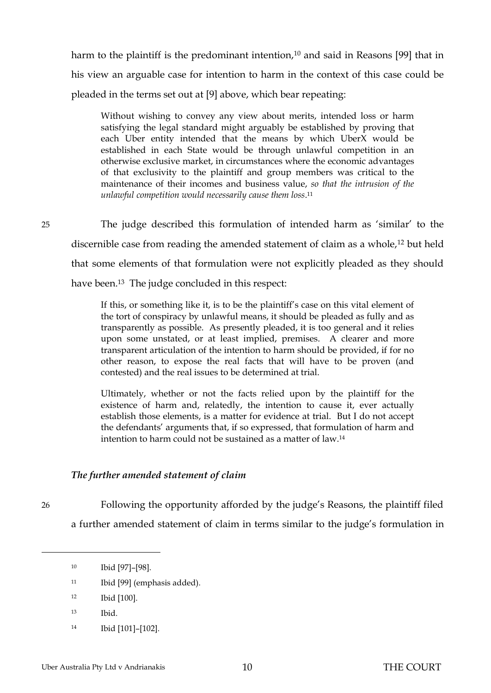harm to the plaintiff is the predominant intention,<sup>10</sup> and said in Reasons [99] that in his view an arguable case for intention to harm in the context of this case could be pleaded in the terms set out at [9] above, which bear repeating:

Without wishing to convey any view about merits, intended loss or harm satisfying the legal standard might arguably be established by proving that each Uber entity intended that the means by which UberX would be established in each State would be through unlawful competition in an otherwise exclusive market, in circumstances where the economic advantages of that exclusivity to the plaintiff and group members was critical to the maintenance of their incomes and business value, *so that the intrusion of the unlawful competition would necessarily cause them loss*. 11

25 The judge described this formulation of intended harm as 'similar' to the discernible case from reading the amended statement of claim as a whole,<sup>12</sup> but held that some elements of that formulation were not explicitly pleaded as they should have been.<sup>13</sup> The judge concluded in this respect:

> If this, or something like it, is to be the plaintiff's case on this vital element of the tort of conspiracy by unlawful means, it should be pleaded as fully and as transparently as possible. As presently pleaded, it is too general and it relies upon some unstated, or at least implied, premises. A clearer and more transparent articulation of the intention to harm should be provided, if for no other reason, to expose the real facts that will have to be proven (and contested) and the real issues to be determined at trial.

> Ultimately, whether or not the facts relied upon by the plaintiff for the existence of harm and, relatedly, the intention to cause it, ever actually establish those elements, is a matter for evidence at trial. But I do not accept the defendants' arguments that, if so expressed, that formulation of harm and intention to harm could not be sustained as a matter of law.<sup>14</sup>

## <span id="page-12-0"></span>*The further amended statement of claim*

 $\overline{a}$ 

26 Following the opportunity afforded by the judge's Reasons, the plaintiff filed a further amended statement of claim in terms similar to the judge's formulation in

- <sup>11</sup> Ibid [99] (emphasis added).
- <sup>12</sup> Ibid [100].
- <sup>13</sup> Ibid.
- <sup>14</sup> Ibid [101]–[102].

<sup>10</sup> Ibid [97]–[98].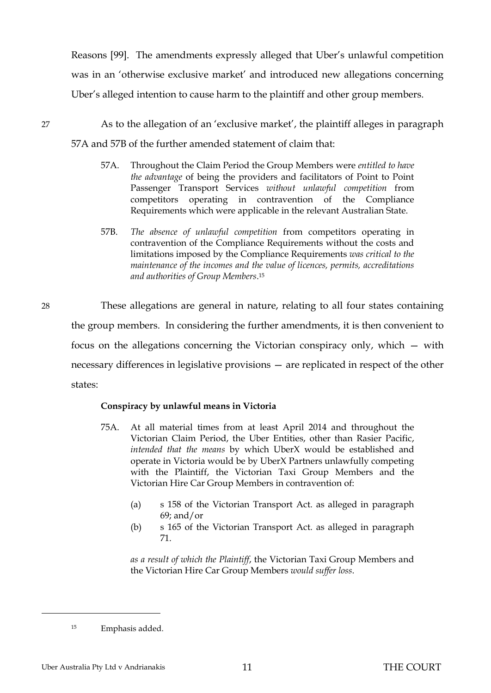Reasons [99]. The amendments expressly alleged that Uber's unlawful competition was in an 'otherwise exclusive market' and introduced new allegations concerning Uber's alleged intention to cause harm to the plaintiff and other group members.

- 27 As to the allegation of an 'exclusive market', the plaintiff alleges in paragraph 57A and 57B of the further amended statement of claim that:
	- 57A. Throughout the Claim Period the Group Members were *entitled to have the advantage* of being the providers and facilitators of Point to Point Passenger Transport Services *without unlawful competition* from competitors operating in contravention of the Compliance Requirements which were applicable in the relevant Australian State.
	- 57B. *The absence of unlawful competition* from competitors operating in contravention of the Compliance Requirements without the costs and limitations imposed by the Compliance Requirements *was critical to the maintenance of the incomes and the value of licences, permits, accreditations and authorities of Group Members*. 15
- 28 These allegations are general in nature, relating to all four states containing the group members. In considering the further amendments, it is then convenient to focus on the allegations concerning the Victorian conspiracy only, which — with necessary differences in legislative provisions — are replicated in respect of the other states:

#### **Conspiracy by unlawful means in Victoria**

- 75A. At all material times from at least April 2014 and throughout the Victorian Claim Period, the Uber Entities, other than Rasier Pacific, *intended that the means* by which UberX would be established and operate in Victoria would be by UberX Partners unlawfully competing with the Plaintiff, the Victorian Taxi Group Members and the Victorian Hire Car Group Members in contravention of:
	- (a) s 158 of the Victorian Transport Act. as alleged in paragraph 69; and/or
	- (b) s 165 of the Victorian Transport Act. as alleged in paragraph 71.

*as a result of which the Plaintiff*, the Victorian Taxi Group Members and the Victorian Hire Car Group Members *would suffer loss*.

<sup>15</sup> Emphasis added.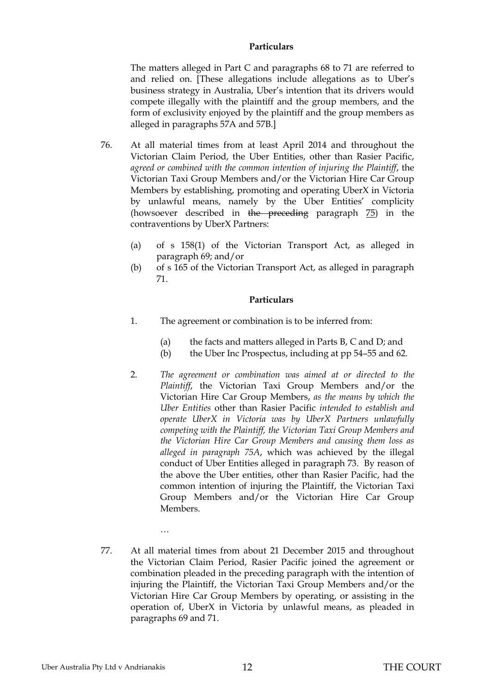#### **Particulars**

The matters alleged in Part C and paragraphs 68 to 71 are referred to and relied on. [These allegations include allegations as to Uber's business strategy in Australia, Uber's intention that its drivers would compete illegally with the plaintiff and the group members, and the form of exclusivity enjoyed by the plaintiff and the group members as alleged in paragraphs 57A and 57B.]

- 76. At all material times from at least April 2014 and throughout the Victorian Claim Period, the Uber Entities, other than Rasier Pacific, *agreed or combined with the common intention of injuring the Plaintiff*, the Victorian Taxi Group Members and/or the Victorian Hire Car Group Members by establishing, promoting and operating UberX in Victoria by unlawful means, namely by the Uber Entities' complicity (howsoever described in the preceding paragraph 75) in the contraventions by UberX Partners:
	- (a) of s 158(1) of the Victorian Transport Act, as alleged in paragraph 69; and/or
	- (b) of s 165 of the Victorian Transport Act, as alleged in paragraph 71.

#### **Particulars**

- 1. The agreement or combination is to be inferred from:
	- (a) the facts and matters alleged in Parts B, C and D; and
	- (b) the Uber Inc Prospectus, including at pp 54–55 and 62.
- 2. *The agreement or combination was aimed at or directed to the Plaintiff*, the Victorian Taxi Group Members and/or the Victorian Hire Car Group Members, *as the means by which the Uber Entities* other than Rasier Pacific *intended to establish and operate UberX in Victoria was by UberX Partners unlawfully competing with the Plaintiff, the Victorian Taxi Group Members and the Victorian Hire Car Group Members and causing them loss as alleged in paragraph 75A*, which was achieved by the illegal conduct of Uber Entities alleged in paragraph 73. By reason of the above the Uber entities, other than Rasier Pacific, had the common intention of injuring the Plaintiff, the Victorian Taxi Group Members and/or the Victorian Hire Car Group Members.
- 77. At all material times from about 21 December 2015 and throughout the Victorian Claim Period, Rasier Pacific joined the agreement or combination pleaded in the preceding paragraph with the intention of injuring the Plaintiff, the Victorian Taxi Group Members and/or the Victorian Hire Car Group Members by operating, or assisting in the operation of, UberX in Victoria by unlawful means, as pleaded in paragraphs 69 and 71.

…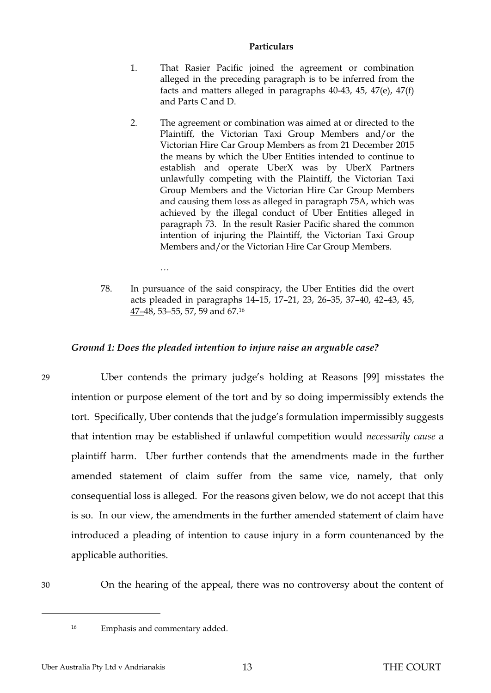#### **Particulars**

- 1. That Rasier Pacific joined the agreement or combination alleged in the preceding paragraph is to be inferred from the facts and matters alleged in paragraphs 40-43, 45, 47(e), 47(f) and Parts C and D.
- 2. The agreement or combination was aimed at or directed to the Plaintiff, the Victorian Taxi Group Members and/or the Victorian Hire Car Group Members as from 21 December 2015 the means by which the Uber Entities intended to continue to establish and operate UberX was by UberX Partners unlawfully competing with the Plaintiff, the Victorian Taxi Group Members and the Victorian Hire Car Group Members and causing them loss as alleged in paragraph 75A, which was achieved by the illegal conduct of Uber Entities alleged in paragraph 73. In the result Rasier Pacific shared the common intention of injuring the Plaintiff, the Victorian Taxi Group Members and/or the Victorian Hire Car Group Members.
- 78. In pursuance of the said conspiracy, the Uber Entities did the overt acts pleaded in paragraphs 14–15, 17–21, 23, 26–35, 37–40, 42–43, 45, 47–48, 53–55, 57, 59 and 67.<sup>16</sup>

### <span id="page-15-0"></span>*Ground 1: Does the pleaded intention to injure raise an arguable case?*

29 Uber contends the primary judge's holding at Reasons [99] misstates the intention or purpose element of the tort and by so doing impermissibly extends the tort. Specifically, Uber contends that the judge's formulation impermissibly suggests that intention may be established if unlawful competition would *necessarily cause* a plaintiff harm. Uber further contends that the amendments made in the further amended statement of claim suffer from the same vice, namely, that only consequential loss is alleged. For the reasons given below, we do not accept that this is so. In our view, the amendments in the further amended statement of claim have introduced a pleading of intention to cause injury in a form countenanced by the applicable authorities.

 $\overline{a}$ 

30 On the hearing of the appeal, there was no controversy about the content of

…

<sup>16</sup> Emphasis and commentary added.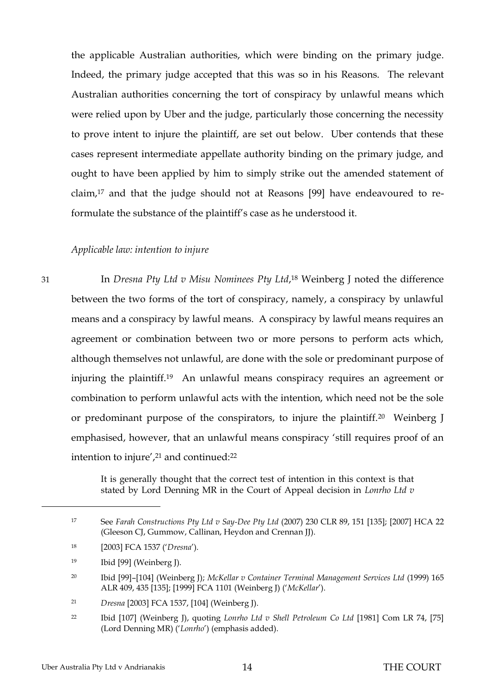the applicable Australian authorities, which were binding on the primary judge. Indeed, the primary judge accepted that this was so in his Reasons. The relevant Australian authorities concerning the tort of conspiracy by unlawful means which were relied upon by Uber and the judge, particularly those concerning the necessity to prove intent to injure the plaintiff, are set out below. Uber contends that these cases represent intermediate appellate authority binding on the primary judge, and ought to have been applied by him to simply strike out the amended statement of claim,<sup>17</sup> and that the judge should not at Reasons [99] have endeavoured to reformulate the substance of the plaintiff's case as he understood it.

#### <span id="page-16-0"></span>*Applicable law: intention to injure*

31 In *Dresna Pty Ltd v Misu Nominees Pty Ltd*, <sup>18</sup> Weinberg J noted the difference between the two forms of the tort of conspiracy, namely, a conspiracy by unlawful means and a conspiracy by lawful means. A conspiracy by lawful means requires an agreement or combination between two or more persons to perform acts which, although themselves not unlawful, are done with the sole or predominant purpose of injuring the plaintiff.<sup>19</sup> An unlawful means conspiracy requires an agreement or combination to perform unlawful acts with the intention, which need not be the sole or predominant purpose of the conspirators, to injure the plaintiff.20 Weinberg J emphasised, however, that an unlawful means conspiracy 'still requires proof of an intention to injure',<sup>21</sup> and continued:<sup>22</sup>

> It is generally thought that the correct test of intention in this context is that stated by Lord Denning MR in the Court of Appeal decision in *Lonrho Ltd v*

<sup>17</sup> See *Farah Constructions Pty Ltd v Say-Dee Pty Ltd* (2007) 230 CLR 89, 151 [135]; [2007] HCA 22 (Gleeson CJ, Gummow, Callinan, Heydon and Crennan JJ).

<sup>18</sup> [2003] FCA 1537 ('*Dresna*').

<sup>19</sup> Ibid [99] (Weinberg J).

<sup>20</sup> Ibid [99]–[104] (Weinberg J); *McKellar v Container Terminal Management Services Ltd* (1999) 165 ALR 409, 435 [135]; [1999] FCA 1101 (Weinberg J) ('*McKellar*').

<sup>21</sup> *Dresna* [2003] FCA 1537, [104] (Weinberg J).

<sup>22</sup> Ibid [107] (Weinberg J), quoting *Lonrho Ltd v Shell Petroleum Co Ltd* [1981] Com LR 74, [75] (Lord Denning MR) ('*Lonrho*') (emphasis added).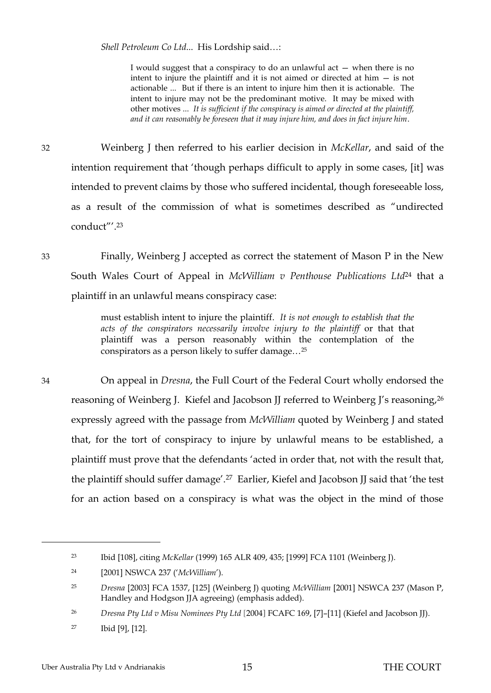*Shell Petroleum Co Ltd*... His Lordship said…:

I would suggest that a conspiracy to do an unlawful act — when there is no intent to injure the plaintiff and it is not aimed or directed at him — is not actionable ... But if there is an intent to injure him then it is actionable. The intent to injure may not be the predominant motive. It may be mixed with other motives ... *It is sufficient if the conspiracy is aimed or directed at the plaintiff, and it can reasonably be foreseen that it may injure him, and does in fact injure him*.

32 Weinberg J then referred to his earlier decision in *McKellar*, and said of the intention requirement that 'though perhaps difficult to apply in some cases, [it] was intended to prevent claims by those who suffered incidental, though foreseeable loss, as a result of the commission of what is sometimes described as "undirected conduct"'. 23

33 Finally, Weinberg J accepted as correct the statement of Mason P in the New South Wales Court of Appeal in *McWilliam v Penthouse Publications Ltd*<sup>24</sup> that a plaintiff in an unlawful means conspiracy case:

> must establish intent to injure the plaintiff. *It is not enough to establish that the acts of the conspirators necessarily involve injury to the plaintiff* or that that plaintiff was a person reasonably within the contemplation of the conspirators as a person likely to suffer damage…<sup>25</sup>

34 On appeal in *Dresna*, the Full Court of the Federal Court wholly endorsed the reasoning of Weinberg J. Kiefel and Jacobson JJ referred to Weinberg J's reasoning,<sup>26</sup> expressly agreed with the passage from *McWilliam* quoted by Weinberg J and stated that, for the tort of conspiracy to injure by unlawful means to be established, a plaintiff must prove that the defendants 'acted in order that, not with the result that, the plaintiff should suffer damage'.<sup>27</sup> Earlier, Kiefel and Jacobson JJ said that 'the test for an action based on a conspiracy is what was the object in the mind of those

<sup>23</sup> Ibid [108], citing *McKellar* (1999) 165 ALR 409, 435; [1999] FCA 1101 (Weinberg J).

<sup>24</sup> [2001] NSWCA 237 ('*McWilliam*').

<sup>25</sup> *Dresna* [2003] FCA 1537, [125] (Weinberg J) quoting *McWilliam* [2001] NSWCA 237 (Mason P, Handley and Hodgson JJA agreeing) (emphasis added).

<sup>26</sup> *Dresna Pty Ltd v Misu Nominees Pty Ltd* [2004] FCAFC 169, [7]–[11] (Kiefel and Jacobson JJ).

<sup>27</sup> Ibid [9], [12].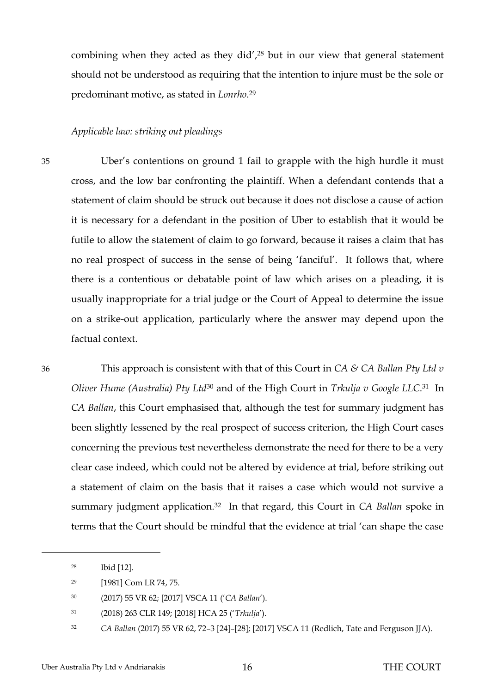combining when they acted as they did', $28$  but in our view that general statement should not be understood as requiring that the intention to injure must be the sole or predominant motive, as stated in *Lonrho*. 29

#### <span id="page-18-0"></span>*Applicable law: striking out pleadings*

35 Uber's contentions on ground 1 fail to grapple with the high hurdle it must cross, and the low bar confronting the plaintiff. When a defendant contends that a statement of claim should be struck out because it does not disclose a cause of action it is necessary for a defendant in the position of Uber to establish that it would be futile to allow the statement of claim to go forward, because it raises a claim that has no real prospect of success in the sense of being 'fanciful'. It follows that, where there is a contentious or debatable point of law which arises on a pleading, it is usually inappropriate for a trial judge or the Court of Appeal to determine the issue on a strike-out application, particularly where the answer may depend upon the factual context.

36 This approach is consistent with that of this Court in *CA & CA Ballan Pty Ltd v Oliver Hume (Australia) Pty Ltd*<sup>30</sup> and of the High Court in *Trkulja v Google LLC*. <sup>31</sup> In *CA Ballan*, this Court emphasised that, although the test for summary judgment has been slightly lessened by the real prospect of success criterion, the High Court cases concerning the previous test nevertheless demonstrate the need for there to be a very clear case indeed, which could not be altered by evidence at trial, before striking out a statement of claim on the basis that it raises a case which would not survive a summary judgment application.32 In that regard, this Court in *CA Ballan* spoke in terms that the Court should be mindful that the evidence at trial 'can shape the case

<sup>28</sup> Ibid [12].

<sup>29</sup> [1981] Com LR 74, 75.

<sup>30</sup> (2017) 55 VR 62; [2017] VSCA 11 ('*CA Ballan*').

<sup>31</sup> (2018) 263 CLR 149; [2018] HCA 25 ('*Trkulja*').

<sup>32</sup> *CA Ballan* (2017) 55 VR 62, 72–3 [24]–[28]; [2017] VSCA 11 (Redlich, Tate and Ferguson JJA).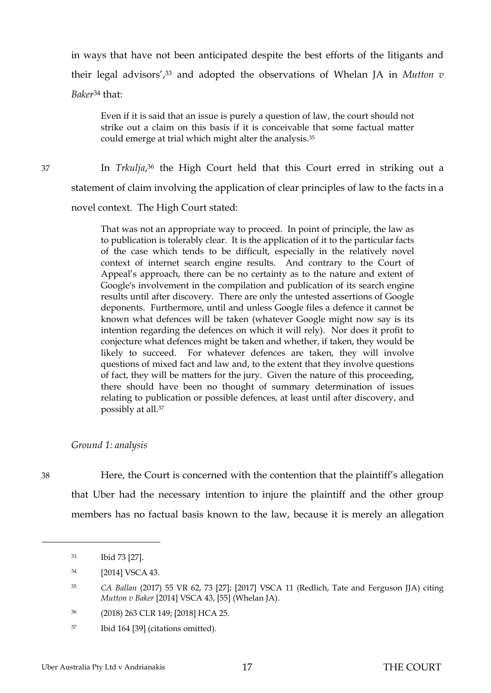in ways that have not been anticipated despite the best efforts of the litigants and their legal advisors',<sup>33</sup> and adopted the observations of Whelan JA in *Mutton v Baker*<sup>34</sup> that:

Even if it is said that an issue is purely a question of law, the court should not strike out a claim on this basis if it is conceivable that some factual matter could emerge at trial which might alter the analysis.<sup>35</sup>

37 In *Trkulja*, <sup>36</sup> the High Court held that this Court erred in striking out a statement of claim involving the application of clear principles of law to the facts in a novel context. The High Court stated:

> That was not an appropriate way to proceed. In point of principle, the law as to publication is tolerably clear. It is the application of it to the particular facts of the case which tends to be difficult, especially in the relatively novel context of internet search engine results. And contrary to the Court of Appeal's approach, there can be no certainty as to the nature and extent of Google's involvement in the compilation and publication of its search engine results until after discovery. There are only the untested assertions of Google deponents. Furthermore, until and unless Google files a defence it cannot be known what defences will be taken (whatever Google might now say is its intention regarding the defences on which it will rely). Nor does it profit to conjecture what defences might be taken and whether, if taken, they would be likely to succeed. For whatever defences are taken, they will involve questions of mixed fact and law and, to the extent that they involve questions of fact, they will be matters for the jury. Given the nature of this proceeding, there should have been no thought of summary determination of issues relating to publication or possible defences, at least until after discovery, and possibly at all.<sup>37</sup>

#### <span id="page-19-0"></span>*Ground 1: analysis*

 $\overline{a}$ 

38 Here, the Court is concerned with the contention that the plaintiff's allegation that Uber had the necessary intention to injure the plaintiff and the other group members has no factual basis known to the law, because it is merely an allegation

<sup>33</sup> Ibid 73 [27].

<sup>34</sup> [2014] VSCA 43.

<sup>35</sup> *CA Ballan* (2017) 55 VR 62, 73 [27]; [2017] VSCA 11 (Redlich, Tate and Ferguson JJA) citing *Mutton v Baker* [2014] VSCA 43, [55] (Whelan JA).

<sup>36</sup> (2018) 263 CLR 149; [2018] HCA 25.

<sup>37</sup> Ibid 164 [39] (citations omitted).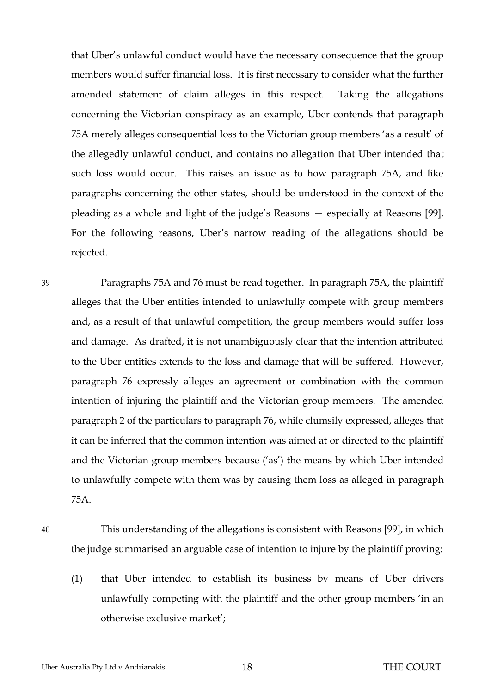that Uber's unlawful conduct would have the necessary consequence that the group members would suffer financial loss. It is first necessary to consider what the further amended statement of claim alleges in this respect. Taking the allegations concerning the Victorian conspiracy as an example, Uber contends that paragraph 75A merely alleges consequential loss to the Victorian group members 'as a result' of the allegedly unlawful conduct, and contains no allegation that Uber intended that such loss would occur. This raises an issue as to how paragraph 75A, and like paragraphs concerning the other states, should be understood in the context of the pleading as a whole and light of the judge's Reasons — especially at Reasons [99]. For the following reasons, Uber's narrow reading of the allegations should be rejected.

39 Paragraphs 75A and 76 must be read together. In paragraph 75A, the plaintiff alleges that the Uber entities intended to unlawfully compete with group members and, as a result of that unlawful competition, the group members would suffer loss and damage. As drafted, it is not unambiguously clear that the intention attributed to the Uber entities extends to the loss and damage that will be suffered. However, paragraph 76 expressly alleges an agreement or combination with the common intention of injuring the plaintiff and the Victorian group members. The amended paragraph 2 of the particulars to paragraph 76, while clumsily expressed, alleges that it can be inferred that the common intention was aimed at or directed to the plaintiff and the Victorian group members because ('as') the means by which Uber intended to unlawfully compete with them was by causing them loss as alleged in paragraph 75A.

40 This understanding of the allegations is consistent with Reasons [99], in which the judge summarised an arguable case of intention to injure by the plaintiff proving:

(1) that Uber intended to establish its business by means of Uber drivers unlawfully competing with the plaintiff and the other group members 'in an otherwise exclusive market';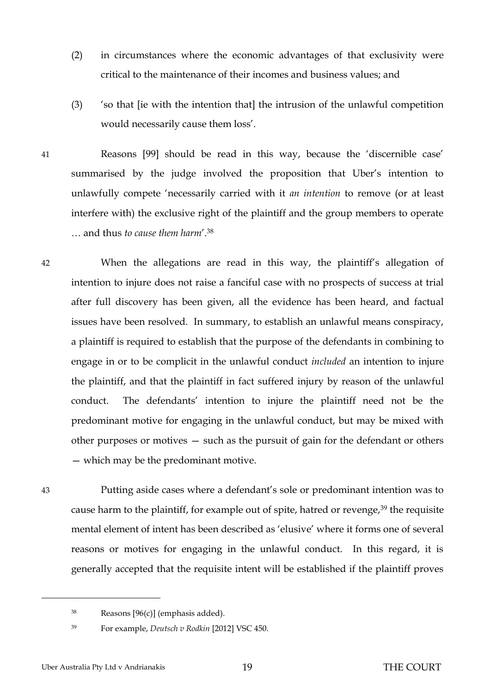- (2) in circumstances where the economic advantages of that exclusivity were critical to the maintenance of their incomes and business values; and
- (3) 'so that [ie with the intention that] the intrusion of the unlawful competition would necessarily cause them loss'.
- 41 Reasons [99] should be read in this way, because the 'discernible case' summarised by the judge involved the proposition that Uber's intention to unlawfully compete 'necessarily carried with it *an intention* to remove (or at least interfere with) the exclusive right of the plaintiff and the group members to operate … and thus *to cause them harm*'.<sup>38</sup>

42 When the allegations are read in this way, the plaintiff's allegation of intention to injure does not raise a fanciful case with no prospects of success at trial after full discovery has been given, all the evidence has been heard, and factual issues have been resolved. In summary, to establish an unlawful means conspiracy, a plaintiff is required to establish that the purpose of the defendants in combining to engage in or to be complicit in the unlawful conduct *included* an intention to injure the plaintiff, and that the plaintiff in fact suffered injury by reason of the unlawful conduct. The defendants' intention to injure the plaintiff need not be the predominant motive for engaging in the unlawful conduct, but may be mixed with other purposes or motives — such as the pursuit of gain for the defendant or others — which may be the predominant motive.

 $\overline{a}$ 

43 Putting aside cases where a defendant's sole or predominant intention was to cause harm to the plaintiff, for example out of spite, hatred or revenge,<sup>39</sup> the requisite mental element of intent has been described as 'elusive' where it forms one of several reasons or motives for engaging in the unlawful conduct. In this regard, it is generally accepted that the requisite intent will be established if the plaintiff proves

<sup>38</sup> Reasons [96(c)] (emphasis added).

<sup>39</sup> For example, *Deutsch v Rodkin* [2012] VSC 450.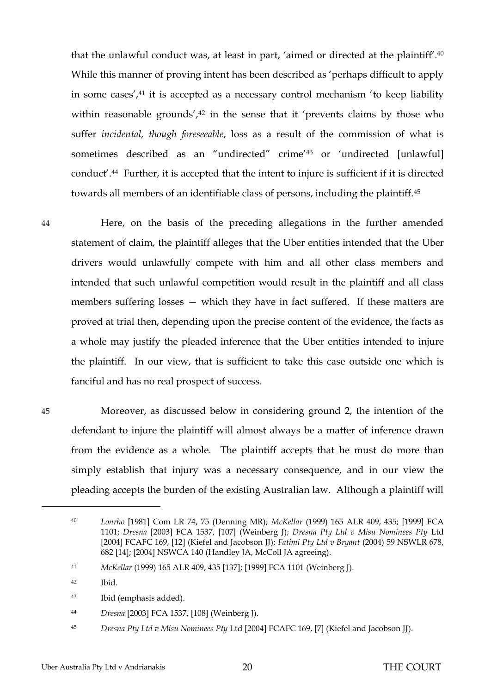that the unlawful conduct was, at least in part, 'aimed or directed at the plaintiff'.<sup>40</sup> While this manner of proving intent has been described as 'perhaps difficult to apply in some cases',<sup>41</sup> it is accepted as a necessary control mechanism 'to keep liability within reasonable grounds', $42$  in the sense that it 'prevents claims by those who suffer *incidental, though foreseeable*, loss as a result of the commission of what is sometimes described as an "undirected" crime'<sup>43</sup> or 'undirected [unlawful] conduct'.44 Further, it is accepted that the intent to injure is sufficient if it is directed towards all members of an identifiable class of persons, including the plaintiff.<sup>45</sup>

 $\overline{a}$ 

44 Here, on the basis of the preceding allegations in the further amended statement of claim, the plaintiff alleges that the Uber entities intended that the Uber drivers would unlawfully compete with him and all other class members and intended that such unlawful competition would result in the plaintiff and all class members suffering losses — which they have in fact suffered. If these matters are proved at trial then, depending upon the precise content of the evidence, the facts as a whole may justify the pleaded inference that the Uber entities intended to injure the plaintiff. In our view, that is sufficient to take this case outside one which is fanciful and has no real prospect of success.

45 Moreover, as discussed below in considering ground 2, the intention of the defendant to injure the plaintiff will almost always be a matter of inference drawn from the evidence as a whole. The plaintiff accepts that he must do more than simply establish that injury was a necessary consequence, and in our view the pleading accepts the burden of the existing Australian law. Although a plaintiff will

<sup>40</sup> *Lonrho* [1981] Com LR 74, 75 (Denning MR); *McKellar* (1999) 165 ALR 409, 435; [1999] FCA 1101; *Dresna* [2003] FCA 1537, [107] (Weinberg J); *Dresna Pty Ltd v Misu Nominees Pty* Ltd [2004] FCAFC 169, [12] (Kiefel and Jacobson JJ); *Fatimi Pty Ltd v Bryant* (2004) 59 NSWLR 678, 682 [14]; [2004] NSWCA 140 (Handley JA, McColl JA agreeing).

<sup>41</sup> *McKellar* (1999) 165 ALR 409, 435 [137]; [1999] FCA 1101 (Weinberg J).

<sup>42</sup> Ibid.

<sup>43</sup> Ibid (emphasis added).

<sup>44</sup> *Dresna* [2003] FCA 1537, [108] (Weinberg J).

<sup>45</sup> *Dresna Pty Ltd v Misu Nominees Pty* Ltd [2004] FCAFC 169, [7] (Kiefel and Jacobson JJ).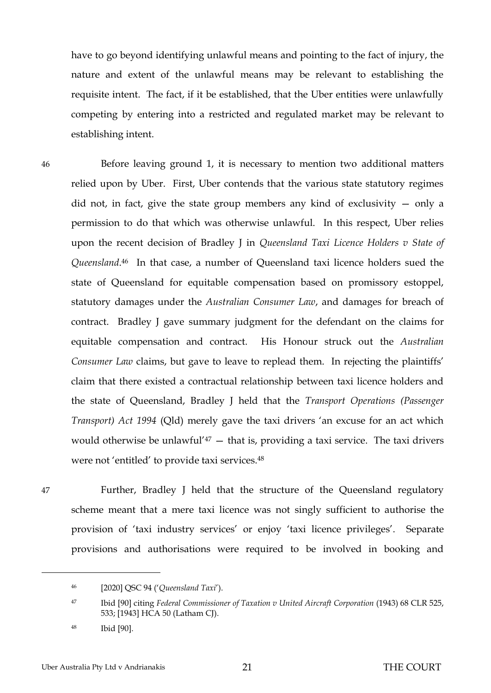have to go beyond identifying unlawful means and pointing to the fact of injury, the nature and extent of the unlawful means may be relevant to establishing the requisite intent. The fact, if it be established, that the Uber entities were unlawfully competing by entering into a restricted and regulated market may be relevant to establishing intent.

46 Before leaving ground 1, it is necessary to mention two additional matters relied upon by Uber. First, Uber contends that the various state statutory regimes did not, in fact, give the state group members any kind of exclusivity — only a permission to do that which was otherwise unlawful. In this respect, Uber relies upon the recent decision of Bradley J in *Queensland Taxi Licence Holders v State of Queensland*. <sup>46</sup> In that case, a number of Queensland taxi licence holders sued the state of Queensland for equitable compensation based on promissory estoppel, statutory damages under the *Australian Consumer Law*, and damages for breach of contract. Bradley J gave summary judgment for the defendant on the claims for equitable compensation and contract. His Honour struck out the *Australian Consumer Law* claims, but gave to leave to replead them. In rejecting the plaintiffs' claim that there existed a contractual relationship between taxi licence holders and the state of Queensland, Bradley J held that the *Transport Operations (Passenger Transport) Act 1994* (Qld) merely gave the taxi drivers 'an excuse for an act which would otherwise be unlawful<sup>'47</sup>  $-$  that is, providing a taxi service. The taxi drivers were not 'entitled' to provide taxi services.<sup>48</sup>

 $\overline{a}$ 

47 Further, Bradley J held that the structure of the Queensland regulatory scheme meant that a mere taxi licence was not singly sufficient to authorise the provision of 'taxi industry services' or enjoy 'taxi licence privileges'. Separate provisions and authorisations were required to be involved in booking and

<sup>46</sup> [2020] QSC 94 ('*Queensland Taxi*').

<sup>47</sup> Ibid [90] citing *Federal Commissioner of Taxation v United Aircraft Corporation* (1943) 68 CLR 525, 533; [1943] HCA 50 (Latham CJ).

<sup>48</sup> Ibid [90].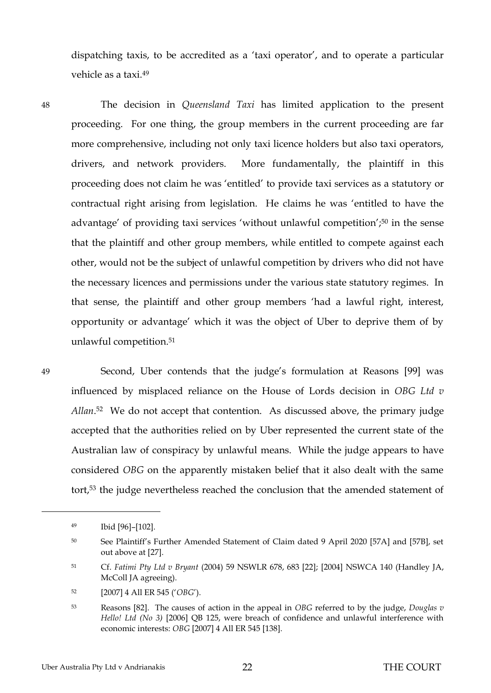dispatching taxis, to be accredited as a 'taxi operator', and to operate a particular vehicle as a taxi.<sup>49</sup>

48 The decision in *Queensland Taxi* has limited application to the present proceeding. For one thing, the group members in the current proceeding are far more comprehensive, including not only taxi licence holders but also taxi operators, drivers, and network providers. More fundamentally, the plaintiff in this proceeding does not claim he was 'entitled' to provide taxi services as a statutory or contractual right arising from legislation. He claims he was 'entitled to have the advantage' of providing taxi services 'without unlawful competition'; <sup>50</sup> in the sense that the plaintiff and other group members, while entitled to compete against each other, would not be the subject of unlawful competition by drivers who did not have the necessary licences and permissions under the various state statutory regimes. In that sense, the plaintiff and other group members 'had a lawful right, interest, opportunity or advantage' which it was the object of Uber to deprive them of by unlawful competition.<sup>51</sup>

 $\overline{a}$ 

49 Second, Uber contends that the judge's formulation at Reasons [99] was influenced by misplaced reliance on the House of Lords decision in *OBG Ltd v Allan*. <sup>52</sup> We do not accept that contention. As discussed above, the primary judge accepted that the authorities relied on by Uber represented the current state of the Australian law of conspiracy by unlawful means. While the judge appears to have considered *OBG* on the apparently mistaken belief that it also dealt with the same tort, <sup>53</sup> the judge nevertheless reached the conclusion that the amended statement of

<sup>49</sup> Ibid [96]–[102].

<sup>50</sup> See Plaintiff's Further Amended Statement of Claim dated 9 April 2020 [57A] and [57B], set out above at [27].

<sup>51</sup> Cf. *Fatimi Pty Ltd v Bryant* (2004) 59 NSWLR 678, 683 [22]; [2004] NSWCA 140 (Handley JA, McColl JA agreeing).

<sup>52</sup> [2007] 4 All ER 545 ('*OBG*').

<sup>53</sup> Reasons [82]. The causes of action in the appeal in *OBG* referred to by the judge, *Douglas v Hello! Ltd (No 3)* [2006] QB 125, were breach of confidence and unlawful interference with economic interests: *OBG* [2007] 4 All ER 545 [138].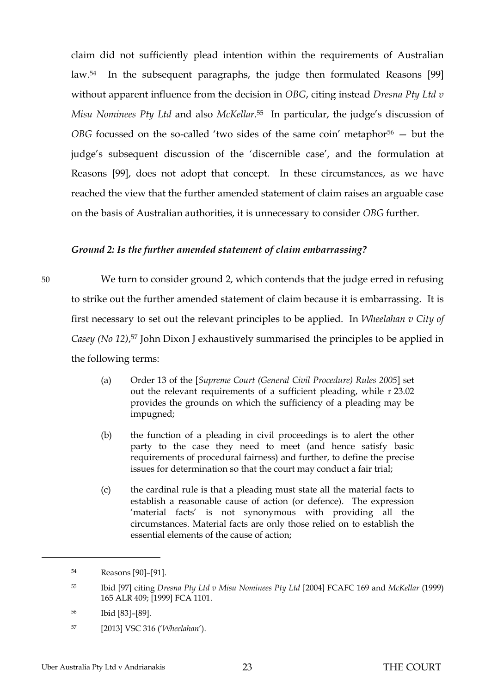claim did not sufficiently plead intention within the requirements of Australian law.54 In the subsequent paragraphs, the judge then formulated Reasons [99] without apparent influence from the decision in *OBG*, citing instead *Dresna Pty Ltd v Misu Nominees Pty Ltd* and also *McKellar*. <sup>55</sup> In particular, the judge's discussion of *OBG* focussed on the so-called 'two sides of the same coin' metaphor<sup>56</sup> – but the judge's subsequent discussion of the 'discernible case', and the formulation at Reasons [99], does not adopt that concept. In these circumstances, as we have reached the view that the further amended statement of claim raises an arguable case on the basis of Australian authorities, it is unnecessary to consider *OBG* further.

### <span id="page-25-0"></span>*Ground 2: Is the further amended statement of claim embarrassing?*

50 We turn to consider ground 2, which contends that the judge erred in refusing to strike out the further amended statement of claim because it is embarrassing. It is first necessary to set out the relevant principles to be applied. In *Wheelahan v City of Casey (No 12)*, <sup>57</sup> John Dixon J exhaustively summarised the principles to be applied in the following terms:

- (a) Order 13 of the [*Supreme Court (General Civil Procedure) Rules 2005*] set out the relevant requirements of a sufficient pleading, while r 23.02 provides the grounds on which the sufficiency of a pleading may be impugned;
- (b) the function of a pleading in civil proceedings is to alert the other party to the case they need to meet (and hence satisfy basic requirements of procedural fairness) and further, to define the precise issues for determination so that the court may conduct a fair trial;
- (c) the cardinal rule is that a pleading must state all the material facts to establish a reasonable cause of action (or defence). The expression 'material facts' is not synonymous with providing all the circumstances. Material facts are only those relied on to establish the essential elements of the cause of action;

<sup>54</sup> Reasons [90]–[91].

<sup>55</sup> Ibid [97] citing *Dresna Pty Ltd v Misu Nominees Pty Ltd* [2004] FCAFC 169 and *McKellar* (1999) 165 ALR 409; [1999] FCA 1101.

<sup>56</sup> Ibid [83]–[89].

<sup>57</sup> [2013] VSC 316 ('*Wheelahan*').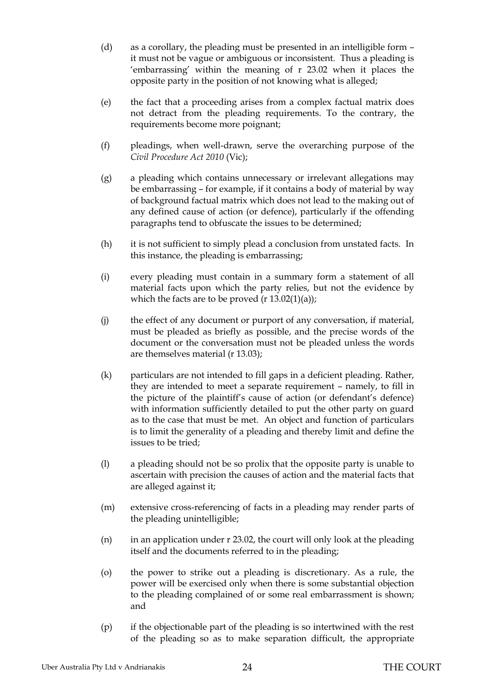- (d) as a corollary, the pleading must be presented in an intelligible form it must not be vague or ambiguous or inconsistent. Thus a pleading is 'embarrassing' within the meaning of r 23.02 when it places the opposite party in the position of not knowing what is alleged;
- (e) the fact that a proceeding arises from a complex factual matrix does not detract from the pleading requirements. To the contrary, the requirements become more poignant;
- (f) pleadings, when well-drawn, serve the overarching purpose of the *Civil Procedure Act 2010* (Vic);
- (g) a pleading which contains unnecessary or irrelevant allegations may be embarrassing – for example, if it contains a body of material by way of background factual matrix which does not lead to the making out of any defined cause of action (or defence), particularly if the offending paragraphs tend to obfuscate the issues to be determined;
- (h) it is not sufficient to simply plead a conclusion from unstated facts. In this instance, the pleading is embarrassing;
- (i) every pleading must contain in a summary form a statement of all material facts upon which the party relies, but not the evidence by which the facts are to be proved  $(r 13.02(1)(a))$ ;
- (j) the effect of any document or purport of any conversation, if material, must be pleaded as briefly as possible, and the precise words of the document or the conversation must not be pleaded unless the words are themselves material (r 13.03);
- (k) particulars are not intended to fill gaps in a deficient pleading. Rather, they are intended to meet a separate requirement – namely, to fill in the picture of the plaintiff's cause of action (or defendant's defence) with information sufficiently detailed to put the other party on guard as to the case that must be met. An object and function of particulars is to limit the generality of a pleading and thereby limit and define the issues to be tried;
- (l) a pleading should not be so prolix that the opposite party is unable to ascertain with precision the causes of action and the material facts that are alleged against it;
- (m) extensive cross-referencing of facts in a pleading may render parts of the pleading unintelligible;
- (n) in an application under r 23.02, the court will only look at the pleading itself and the documents referred to in the pleading;
- (o) the power to strike out a pleading is discretionary. As a rule, the power will be exercised only when there is some substantial objection to the pleading complained of or some real embarrassment is shown; and
- (p) if the objectionable part of the pleading is so intertwined with the rest of the pleading so as to make separation difficult, the appropriate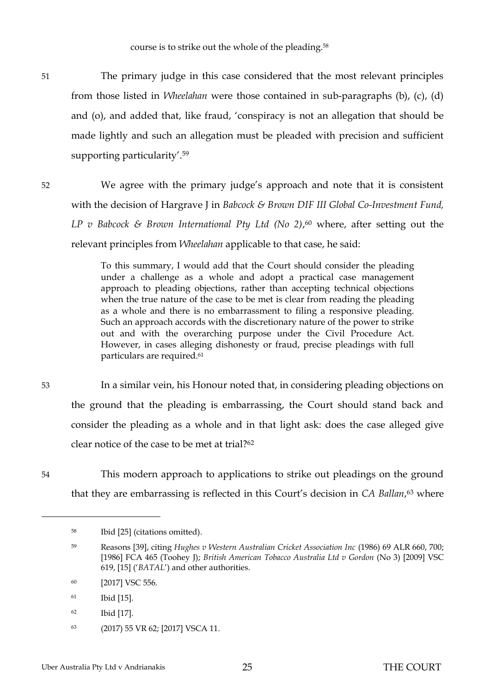51 The primary judge in this case considered that the most relevant principles from those listed in *Wheelahan* were those contained in sub-paragraphs (b), (c), (d) and (o), and added that, like fraud, 'conspiracy is not an allegation that should be made lightly and such an allegation must be pleaded with precision and sufficient supporting particularity'.<sup>59</sup>

52 We agree with the primary judge's approach and note that it is consistent with the decision of Hargrave J in *Babcock & Brown DIF III Global Co-Investment Fund, LP v Babcock & Brown International Pty Ltd (No 2)*, <sup>60</sup> where, after setting out the relevant principles from *Wheelahan* applicable to that case, he said:

> To this summary, I would add that the Court should consider the pleading under a challenge as a whole and adopt a practical case management approach to pleading objections, rather than accepting technical objections when the true nature of the case to be met is clear from reading the pleading as a whole and there is no embarrassment to filing a responsive pleading. Such an approach accords with the discretionary nature of the power to strike out and with the overarching purpose under the Civil Procedure Act. However, in cases alleging dishonesty or fraud, precise pleadings with full particulars are required.<sup>61</sup>

53 In a similar vein, his Honour noted that, in considering pleading objections on the ground that the pleading is embarrassing, the Court should stand back and consider the pleading as a whole and in that light ask: does the case alleged give clear notice of the case to be met at trial?<sup>62</sup>

54 This modern approach to applications to strike out pleadings on the ground that they are embarrassing is reflected in this Court's decision in *CA Ballan*, <sup>63</sup> where

- <sup>62</sup> Ibid [17].
- <sup>63</sup> (2017) 55 VR 62; [2017] VSCA 11.

<sup>58</sup> Ibid [25] (citations omitted).

<sup>59</sup> Reasons [39], citing *Hughes v Western Australian Cricket Association Inc* (1986) 69 ALR 660, 700; [1986] FCA 465 (Toohey J); *British American Tobacco Australia Ltd v Gordon* (No 3) [2009] VSC 619, [15] ('*BATAL*') and other authorities.

<sup>60</sup> [2017] VSC 556.

<sup>61</sup> Ibid [15].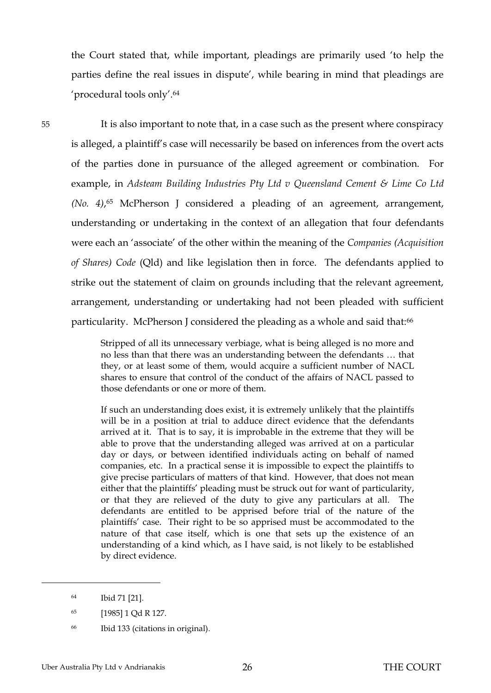the Court stated that, while important, pleadings are primarily used 'to help the parties define the real issues in dispute', while bearing in mind that pleadings are 'procedural tools only'.<sup>64</sup>

55 It is also important to note that, in a case such as the present where conspiracy is alleged, a plaintiff's case will necessarily be based on inferences from the overt acts of the parties done in pursuance of the alleged agreement or combination. For example, in *Adsteam Building Industries Pty Ltd v Queensland Cement & Lime Co Ltd (No. 4)*, <sup>65</sup> McPherson J considered a pleading of an agreement, arrangement, understanding or undertaking in the context of an allegation that four defendants were each an 'associate' of the other within the meaning of the *Companies (Acquisition of Shares) Code* (Qld) and like legislation then in force. The defendants applied to strike out the statement of claim on grounds including that the relevant agreement, arrangement, understanding or undertaking had not been pleaded with sufficient particularity. McPherson J considered the pleading as a whole and said that:<sup>66</sup>

> Stripped of all its unnecessary verbiage, what is being alleged is no more and no less than that there was an understanding between the defendants … that they, or at least some of them, would acquire a sufficient number of NACL shares to ensure that control of the conduct of the affairs of NACL passed to those defendants or one or more of them.

> If such an understanding does exist, it is extremely unlikely that the plaintiffs will be in a position at trial to adduce direct evidence that the defendants arrived at it. That is to say, it is improbable in the extreme that they will be able to prove that the understanding alleged was arrived at on a particular day or days, or between identified individuals acting on behalf of named companies, etc. In a practical sense it is impossible to expect the plaintiffs to give precise particulars of matters of that kind. However, that does not mean either that the plaintiffs' pleading must be struck out for want of particularity, or that they are relieved of the duty to give any particulars at all. The defendants are entitled to be apprised before trial of the nature of the plaintiffs' case. Their right to be so apprised must be accommodated to the nature of that case itself, which is one that sets up the existence of an understanding of a kind which, as I have said, is not likely to be established by direct evidence.

<sup>64</sup> Ibid 71 [21].

<sup>65</sup> [1985] 1 Qd R 127.

<sup>66</sup> Ibid 133 (citations in original).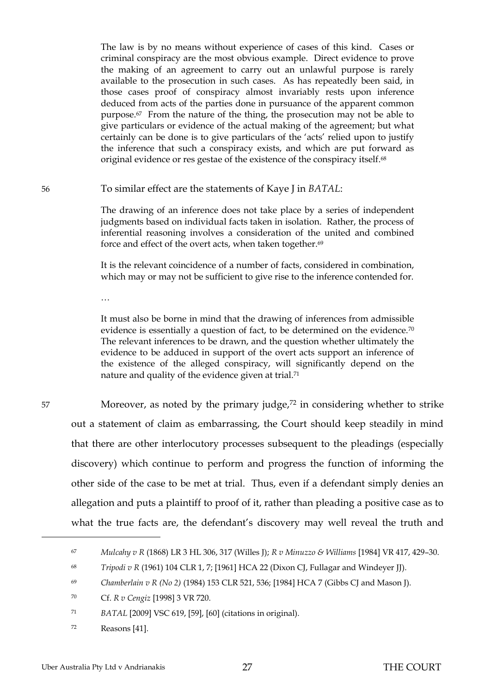The law is by no means without experience of cases of this kind. Cases or criminal conspiracy are the most obvious example. Direct evidence to prove the making of an agreement to carry out an unlawful purpose is rarely available to the prosecution in such cases. As has repeatedly been said, in those cases proof of conspiracy almost invariably rests upon inference deduced from acts of the parties done in pursuance of the apparent common purpose.67 From the nature of the thing, the prosecution may not be able to give particulars or evidence of the actual making of the agreement; but what certainly can be done is to give particulars of the 'acts' relied upon to justify the inference that such a conspiracy exists, and which are put forward as original evidence or res gestae of the existence of the conspiracy itself.<sup>68</sup>

56 To similar effect are the statements of Kaye J in *BATAL*:

The drawing of an inference does not take place by a series of independent judgments based on individual facts taken in isolation. Rather, the process of inferential reasoning involves a consideration of the united and combined force and effect of the overt acts, when taken together.<sup>69</sup>

It is the relevant coincidence of a number of facts, considered in combination, which may or may not be sufficient to give rise to the inference contended for.

…

It must also be borne in mind that the drawing of inferences from admissible evidence is essentially a question of fact, to be determined on the evidence.<sup>70</sup> The relevant inferences to be drawn, and the question whether ultimately the evidence to be adduced in support of the overt acts support an inference of the existence of the alleged conspiracy, will significantly depend on the nature and quality of the evidence given at trial.<sup>71</sup>

 $\overline{a}$ 

57 Moreover, as noted by the primary judge,<sup>72</sup> in considering whether to strike out a statement of claim as embarrassing, the Court should keep steadily in mind that there are other interlocutory processes subsequent to the pleadings (especially discovery) which continue to perform and progress the function of informing the other side of the case to be met at trial. Thus, even if a defendant simply denies an allegation and puts a plaintiff to proof of it, rather than pleading a positive case as to what the true facts are, the defendant's discovery may well reveal the truth and

<sup>67</sup> *Mulcahy v R* (1868) LR 3 HL 306, 317 (Willes J); *R v Minuzzo & Williams* [1984] VR 417, 429–30.

<sup>68</sup> *Tripodi v R* (1961) 104 CLR 1, 7; [1961] HCA 22 (Dixon CJ, Fullagar and Windeyer JJ).

<sup>69</sup> *Chamberlain v R (No 2)* (1984) 153 CLR 521, 536; [1984] HCA 7 (Gibbs CJ and Mason J).

<sup>70</sup> Cf. *R v Cengiz* [1998] 3 VR 720.

<sup>71</sup> *BATAL* [2009] VSC 619, [59], [60] (citations in original).

<sup>72</sup> Reasons [41].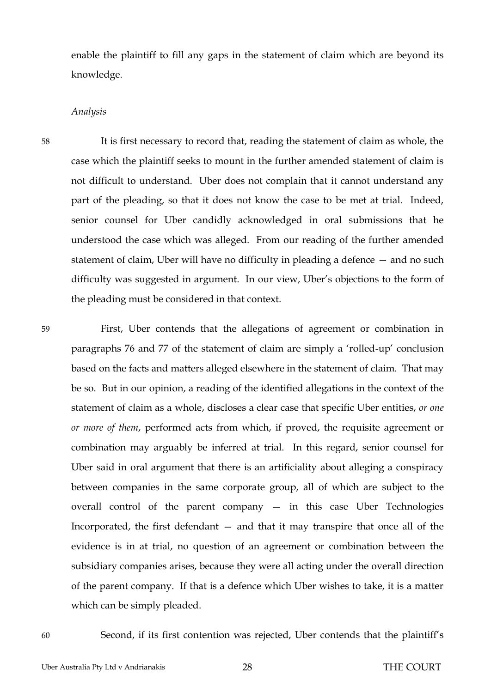enable the plaintiff to fill any gaps in the statement of claim which are beyond its knowledge.

### <span id="page-30-0"></span>*Analysis*

58 It is first necessary to record that, reading the statement of claim as whole, the case which the plaintiff seeks to mount in the further amended statement of claim is not difficult to understand. Uber does not complain that it cannot understand any part of the pleading, so that it does not know the case to be met at trial. Indeed, senior counsel for Uber candidly acknowledged in oral submissions that he understood the case which was alleged. From our reading of the further amended statement of claim, Uber will have no difficulty in pleading a defence — and no such difficulty was suggested in argument. In our view, Uber's objections to the form of the pleading must be considered in that context.

59 First, Uber contends that the allegations of agreement or combination in paragraphs 76 and 77 of the statement of claim are simply a 'rolled-up' conclusion based on the facts and matters alleged elsewhere in the statement of claim. That may be so. But in our opinion, a reading of the identified allegations in the context of the statement of claim as a whole, discloses a clear case that specific Uber entities, *or one or more of them*, performed acts from which, if proved, the requisite agreement or combination may arguably be inferred at trial. In this regard, senior counsel for Uber said in oral argument that there is an artificiality about alleging a conspiracy between companies in the same corporate group, all of which are subject to the overall control of the parent company — in this case Uber Technologies Incorporated, the first defendant — and that it may transpire that once all of the evidence is in at trial, no question of an agreement or combination between the subsidiary companies arises, because they were all acting under the overall direction of the parent company. If that is a defence which Uber wishes to take, it is a matter which can be simply pleaded.

60 Second, if its first contention was rejected, Uber contends that the plaintiff's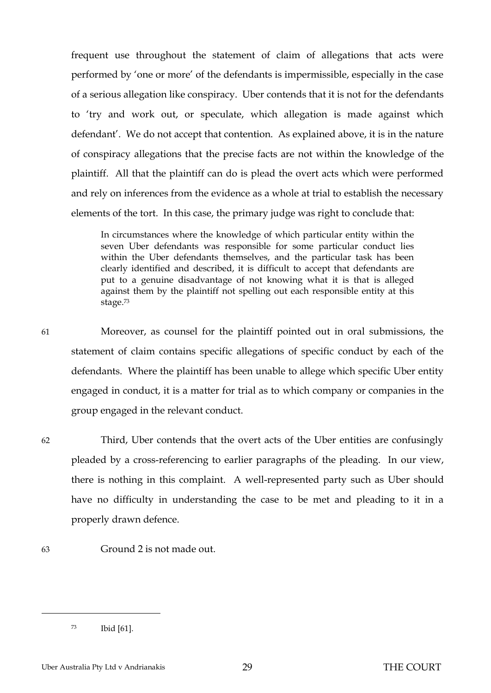frequent use throughout the statement of claim of allegations that acts were performed by 'one or more' of the defendants is impermissible, especially in the case of a serious allegation like conspiracy. Uber contends that it is not for the defendants to 'try and work out, or speculate, which allegation is made against which defendant'. We do not accept that contention. As explained above, it is in the nature of conspiracy allegations that the precise facts are not within the knowledge of the plaintiff. All that the plaintiff can do is plead the overt acts which were performed and rely on inferences from the evidence as a whole at trial to establish the necessary elements of the tort. In this case, the primary judge was right to conclude that:

In circumstances where the knowledge of which particular entity within the seven Uber defendants was responsible for some particular conduct lies within the Uber defendants themselves, and the particular task has been clearly identified and described, it is difficult to accept that defendants are put to a genuine disadvantage of not knowing what it is that is alleged against them by the plaintiff not spelling out each responsible entity at this stage.<sup>73</sup>

61 Moreover, as counsel for the plaintiff pointed out in oral submissions, the statement of claim contains specific allegations of specific conduct by each of the defendants. Where the plaintiff has been unable to allege which specific Uber entity engaged in conduct, it is a matter for trial as to which company or companies in the group engaged in the relevant conduct.

 $\overline{a}$ 

62 Third, Uber contends that the overt acts of the Uber entities are confusingly pleaded by a cross-referencing to earlier paragraphs of the pleading. In our view, there is nothing in this complaint. A well-represented party such as Uber should have no difficulty in understanding the case to be met and pleading to it in a properly drawn defence.

63 Ground 2 is not made out.

<sup>73</sup> Ibid [61].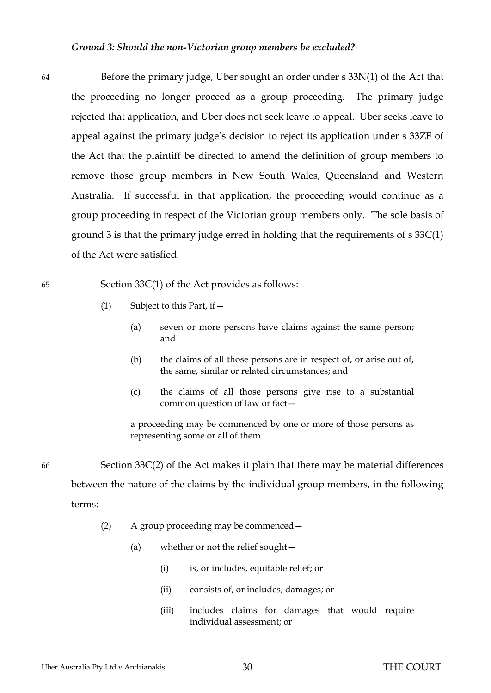#### *Ground 3: Should the non-Victorian group members be excluded?*

<span id="page-32-0"></span>64 Before the primary judge, Uber sought an order under s 33N(1) of the Act that the proceeding no longer proceed as a group proceeding. The primary judge rejected that application, and Uber does not seek leave to appeal. Uber seeks leave to appeal against the primary judge's decision to reject its application under s 33ZF of the Act that the plaintiff be directed to amend the definition of group members to remove those group members in New South Wales, Queensland and Western Australia. If successful in that application, the proceeding would continue as a group proceeding in respect of the Victorian group members only. The sole basis of ground 3 is that the primary judge erred in holding that the requirements of s 33C(1) of the Act were satisfied.

65 Section 33C(1) of the Act provides as follows:

- (1) Subject to this Part, if  $-$ 
	- (a) seven or more persons have claims against the same person; and
	- (b) the claims of all those persons are in respect of, or arise out of, the same, similar or related circumstances; and
	- (c) the claims of all those persons give rise to a substantial common question of law or fact—

a proceeding may be commenced by one or more of those persons as representing some or all of them.

66 Section 33C(2) of the Act makes it plain that there may be material differences between the nature of the claims by the individual group members, in the following terms:

- (2) A group proceeding may be commenced—
	- (a) whether or not the relief sought—
		- (i) is, or includes, equitable relief; or
		- (ii) consists of, or includes, damages; or
		- (iii) includes claims for damages that would require individual assessment; or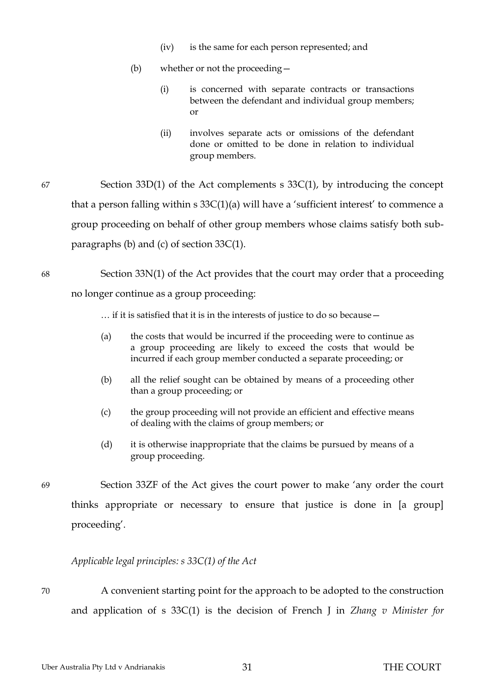- (iv) is the same for each person represented; and
- (b) whether or not the proceeding—
	- (i) is concerned with separate contracts or transactions between the defendant and individual group members; or
	- (ii) involves separate acts or omissions of the defendant done or omitted to be done in relation to individual group members.
- 67 Section 33D(1) of the Act complements s 33C(1), by introducing the concept that a person falling within s 33C(1)(a) will have a 'sufficient interest' to commence a group proceeding on behalf of other group members whose claims satisfy both subparagraphs (b) and (c) of section 33C(1).

68 Section 33N(1) of the Act provides that the court may order that a proceeding no longer continue as a group proceeding:

… if it is satisfied that it is in the interests of justice to do so because—

- (a) the costs that would be incurred if the proceeding were to continue as a group proceeding are likely to exceed the costs that would be incurred if each group member conducted a separate proceeding; or
- (b) all the relief sought can be obtained by means of a proceeding other than a group proceeding; or
- (c) the group proceeding will not provide an efficient and effective means of dealing with the claims of group members; or
- (d) it is otherwise inappropriate that the claims be pursued by means of a group proceeding.

69 Section 33ZF of the Act gives the court power to make 'any order the court thinks appropriate or necessary to ensure that justice is done in [a group] proceeding'.

## <span id="page-33-0"></span>*Applicable legal principles: s 33C(1) of the Act*

70 A convenient starting point for the approach to be adopted to the construction and application of s 33C(1) is the decision of French J in *Zhang v Minister for*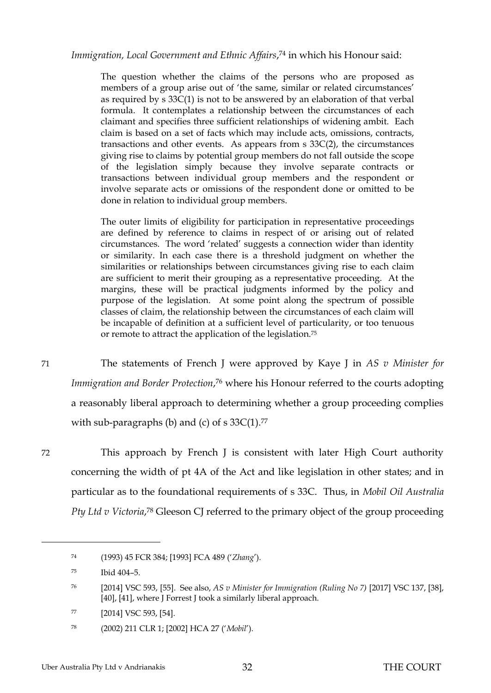*Immigration, Local Government and Ethnic Affairs*, <sup>74</sup> in which his Honour said:

The question whether the claims of the persons who are proposed as members of a group arise out of 'the same, similar or related circumstances' as required by s 33C(1) is not to be answered by an elaboration of that verbal formula. It contemplates a relationship between the circumstances of each claimant and specifies three sufficient relationships of widening ambit. Each claim is based on a set of facts which may include acts, omissions, contracts, transactions and other events. As appears from s 33C(2), the circumstances giving rise to claims by potential group members do not fall outside the scope of the legislation simply because they involve separate contracts or transactions between individual group members and the respondent or involve separate acts or omissions of the respondent done or omitted to be done in relation to individual group members.

The outer limits of eligibility for participation in representative proceedings are defined by reference to claims in respect of or arising out of related circumstances. The word 'related' suggests a connection wider than identity or similarity. In each case there is a threshold judgment on whether the similarities or relationships between circumstances giving rise to each claim are sufficient to merit their grouping as a representative proceeding. At the margins, these will be practical judgments informed by the policy and purpose of the legislation. At some point along the spectrum of possible classes of claim, the relationship between the circumstances of each claim will be incapable of definition at a sufficient level of particularity, or too tenuous or remote to attract the application of the legislation.<sup>75</sup>

71 The statements of French J were approved by Kaye J in *AS v Minister for Immigration and Border Protection*, <sup>76</sup> where his Honour referred to the courts adopting a reasonably liberal approach to determining whether a group proceeding complies with sub-paragraphs (b) and (c) of  $s$  33C(1).<sup>77</sup>

 $\overline{a}$ 

72 This approach by French J is consistent with later High Court authority concerning the width of pt 4A of the Act and like legislation in other states; and in particular as to the foundational requirements of s 33C. Thus, in *Mobil Oil Australia*  Pty Ltd v Victoria,<sup>78</sup> Gleeson CJ referred to the primary object of the group proceeding

<sup>74</sup> (1993) 45 FCR 384; [1993] FCA 489 ('*Zhang*').

<sup>75</sup> Ibid 404–5.

<sup>76</sup> [2014] VSC 593, [55]. See also, *AS v Minister for Immigration (Ruling No 7)* [2017] VSC 137, [38], [40], [41], where J Forrest J took a similarly liberal approach.

<sup>77</sup> [2014] VSC 593, [54].

<sup>78</sup> (2002) 211 CLR 1; [2002] HCA 27 ('*Mobil*').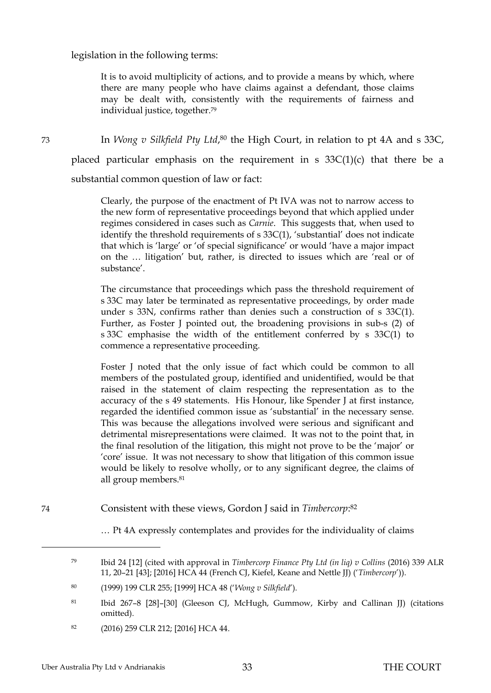#### legislation in the following terms:

It is to avoid multiplicity of actions, and to provide a means by which, where there are many people who have claims against a defendant, those claims may be dealt with, consistently with the requirements of fairness and individual justice, together.<sup>79</sup>

73 In *Wong v Silkfield Pty Ltd*, <sup>80</sup> the High Court, in relation to pt 4A and s 33C, placed particular emphasis on the requirement in s  $33C(1)(c)$  that there be a substantial common question of law or fact:

> Clearly, the purpose of the enactment of Pt IVA was not to narrow access to the new form of representative proceedings beyond that which applied under regimes considered in cases such as *Carnie*. This suggests that, when used to identify the threshold requirements of s 33C(1), 'substantial' does not indicate that which is 'large' or 'of special significance' or would 'have a major impact on the … litigation' but, rather, is directed to issues which are 'real or of substance'.

> The circumstance that proceedings which pass the threshold requirement of s 33C may later be terminated as representative proceedings, by order made under s 33N, confirms rather than denies such a construction of s 33C(1). Further, as Foster J pointed out, the broadening provisions in sub-s (2) of s 33C emphasise the width of the entitlement conferred by s 33C(1) to commence a representative proceeding.

> Foster J noted that the only issue of fact which could be common to all members of the postulated group, identified and unidentified, would be that raised in the statement of claim respecting the representation as to the accuracy of the s 49 statements. His Honour, like Spender J at first instance, regarded the identified common issue as 'substantial' in the necessary sense. This was because the allegations involved were serious and significant and detrimental misrepresentations were claimed. It was not to the point that, in the final resolution of the litigation, this might not prove to be the 'major' or 'core' issue. It was not necessary to show that litigation of this common issue would be likely to resolve wholly, or to any significant degree, the claims of all group members.<sup>81</sup>

74 Consistent with these views, Gordon J said in *Timbercorp*: 82

… Pt 4A expressly contemplates and provides for the individuality of claims

<sup>82</sup> (2016) 259 CLR 212; [2016] HCA 44.

<sup>79</sup> Ibid 24 [12] (cited with approval in *Timbercorp Finance Pty Ltd (in liq) v Collins* (2016) 339 ALR 11, 20–21 [43]; [2016] HCA 44 (French CJ, Kiefel, Keane and Nettle JJ) ('*Timbercorp*')).

<sup>80</sup> (1999) 199 CLR 255; [1999] HCA 48 ('*Wong v Silkfield*').

<sup>81</sup> Ibid 267–8 [28]–[30] (Gleeson CJ, McHugh, Gummow, Kirby and Callinan JJ) (citations omitted).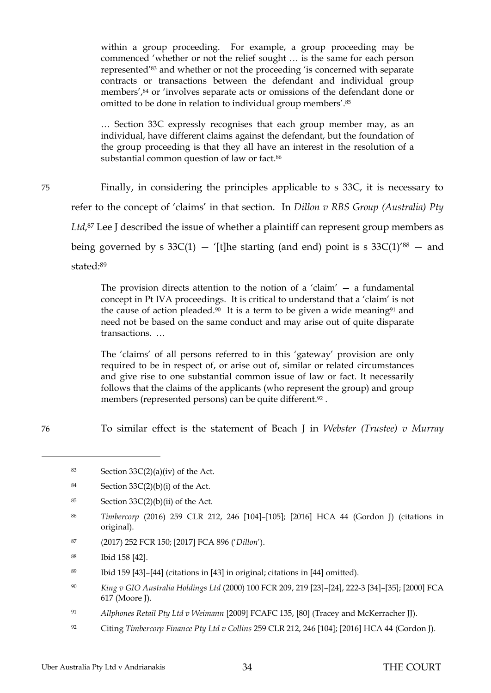within a group proceeding. For example, a group proceeding may be commenced 'whether or not the relief sought … is the same for each person represented'<sup>83</sup> and whether or not the proceeding 'is concerned with separate contracts or transactions between the defendant and individual group members',<sup>84</sup> or 'involves separate acts or omissions of the defendant done or omitted to be done in relation to individual group members'.<sup>85</sup>

… Section 33C expressly recognises that each group member may, as an individual, have different claims against the defendant, but the foundation of the group proceeding is that they all have an interest in the resolution of a substantial common question of law or fact.<sup>86</sup>

75 Finally, in considering the principles applicable to s 33C, it is necessary to refer to the concept of 'claims' in that section. In *Dillon v RBS Group (Australia) Pty*  Ltd,<sup>87</sup> Lee J described the issue of whether a plaintiff can represent group members as being governed by s  $33C(1)$  – '[t]he starting (and end) point is s  $33C(1)$ '<sup>88</sup> – and stated:<sup>89</sup>

> The provision directs attention to the notion of a 'claim'  $-$  a fundamental concept in Pt IVA proceedings. It is critical to understand that a 'claim' is not the cause of action pleaded.<sup>90</sup> It is a term to be given a wide meaning<sup>91</sup> and need not be based on the same conduct and may arise out of quite disparate transactions. …

> The 'claims' of all persons referred to in this 'gateway' provision are only required to be in respect of, or arise out of, similar or related circumstances and give rise to one substantial common issue of law or fact. It necessarily follows that the claims of the applicants (who represent the group) and group members (represented persons) can be quite different.<sup>92</sup>.

76 To similar effect is the statement of Beach J in *Webster (Trustee) v Murray* 

- 85 Section  $33C(2)(b)(ii)$  of the Act.
- <sup>86</sup> *Timbercorp* (2016) 259 CLR 212, 246 [104]–[105]; [2016] HCA 44 (Gordon J) (citations in original).
- <sup>87</sup> (2017) 252 FCR 150; [2017] FCA 896 ('*Dillon*').
- <sup>88</sup> Ibid 158 [42].
- <sup>89</sup> Ibid 159 [43]–[44] (citations in [43] in original; citations in [44] omitted).
- <sup>90</sup> *King v GIO Australia Holdings Ltd* (2000) 100 FCR 209, 219 [23]–[24], 222-3 [34]–[35]; [2000] FCA 617 (Moore J).
- <sup>91</sup> *Allphones Retail Pty Ltd v Weimann* [2009] FCAFC 135, [80] (Tracey and McKerracher JJ).
- <sup>92</sup> Citing *Timbercorp Finance Pty Ltd v Collins* 259 CLR 212, 246 [104]; [2016] HCA 44 (Gordon J).

<sup>83</sup> Section  $33C(2)(a)(iv)$  of the Act.

<sup>84</sup> Section  $33C(2)(b)(i)$  of the Act.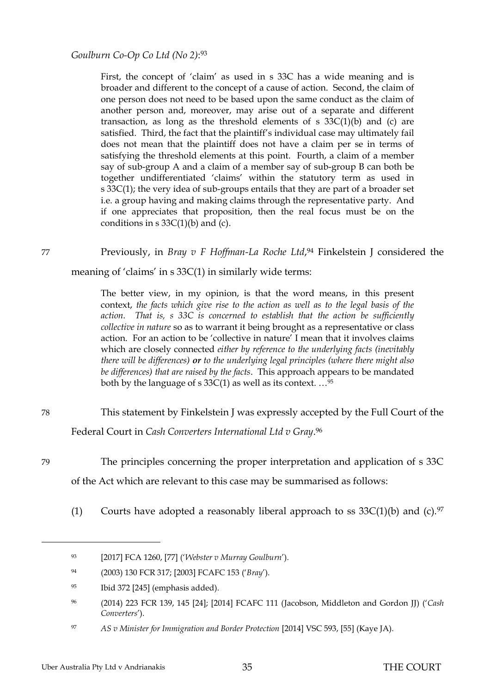*Goulburn Co-Op Co Ltd (No 2)*: 93

First, the concept of 'claim' as used in s 33C has a wide meaning and is broader and different to the concept of a cause of action. Second, the claim of one person does not need to be based upon the same conduct as the claim of another person and, moreover, may arise out of a separate and different transaction, as long as the threshold elements of s  $33C(1)(b)$  and (c) are satisfied. Third, the fact that the plaintiff's individual case may ultimately fail does not mean that the plaintiff does not have a claim per se in terms of satisfying the threshold elements at this point. Fourth, a claim of a member say of sub-group A and a claim of a member say of sub-group B can both be together undifferentiated 'claims' within the statutory term as used in s 33C(1); the very idea of sub-groups entails that they are part of a broader set i.e. a group having and making claims through the representative party. And if one appreciates that proposition, then the real focus must be on the conditions in  $s \frac{33C(1)}{b}$  and (c).

77 **Previously, in** *Bray v F Hoffman-La Roche Ltd***,<sup>94</sup> Finkelstein J considered the** 

meaning of 'claims' in s 33C(1) in similarly wide terms:

The better view, in my opinion, is that the word means, in this present context, *the facts which give rise to the action as well as to the legal basis of the action. That is, s 33C is concerned to establish that the action be sufficiently collective in nature* so as to warrant it being brought as a representative or class action. For an action to be 'collective in nature' I mean that it involves claims which are closely connected *either by reference to the underlying facts (inevitably there will be differences) or to the underlying legal principles (where there might also be differences) that are raised by the facts*. This approach appears to be mandated both by the language of s  $33C(1)$  as well as its context.  $\ldots$ <sup>95</sup>

78 This statement by Finkelstein J was expressly accepted by the Full Court of the Federal Court in *Cash Converters International Ltd v Gray*. <sup>96</sup>

79 The principles concerning the proper interpretation and application of s 33C of the Act which are relevant to this case may be summarised as follows:

(1) Courts have adopted a reasonably liberal approach to ss  $33C(1)(b)$  and (c).<sup>97</sup>

<sup>93</sup> [2017] FCA 1260, [77] ('*Webster v Murray Goulburn*').

<sup>94</sup> (2003) 130 FCR 317; [2003] FCAFC 153 ('*Bray*').

<sup>95</sup> Ibid 372 [245] (emphasis added).

<sup>96</sup> (2014) 223 FCR 139, 145 [24]; [2014] FCAFC 111 (Jacobson, Middleton and Gordon JJ) ('*Cash Converters*').

<sup>97</sup> *AS v Minister for Immigration and Border Protection* [2014] VSC 593, [55] (Kaye JA).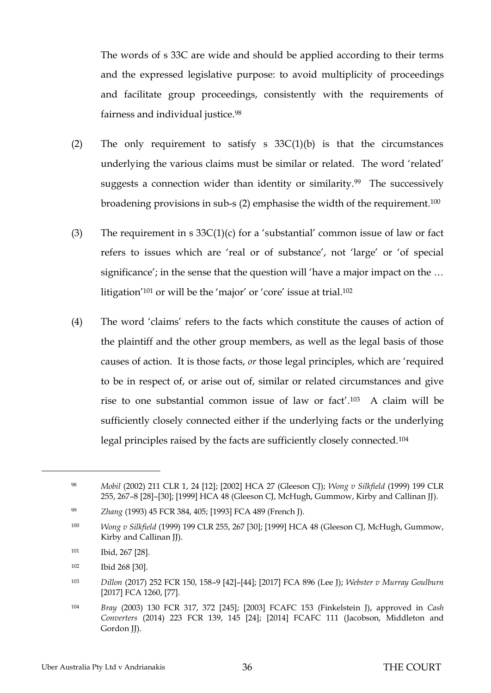The words of s 33C are wide and should be applied according to their terms and the expressed legislative purpose: to avoid multiplicity of proceedings and facilitate group proceedings, consistently with the requirements of fairness and individual justice.<sup>98</sup>

- (2) The only requirement to satisfy s  $33C(1)(b)$  is that the circumstances underlying the various claims must be similar or related. The word 'related' suggests a connection wider than identity or similarity.<sup>99</sup> The successively broadening provisions in sub-s (2) emphasise the width of the requirement.<sup>100</sup>
- (3) The requirement in s  $33C(1)(c)$  for a 'substantial' common issue of law or fact refers to issues which are 'real or of substance', not 'large' or 'of special significance'; in the sense that the question will 'have a major impact on the ... litigation'<sup>101</sup> or will be the 'major' or 'core' issue at trial.<sup>102</sup>
- (4) The word 'claims' refers to the facts which constitute the causes of action of the plaintiff and the other group members, as well as the legal basis of those causes of action. It is those facts, *or* those legal principles, which are 'required to be in respect of, or arise out of, similar or related circumstances and give rise to one substantial common issue of law or fact'. <sup>103</sup> A claim will be sufficiently closely connected either if the underlying facts or the underlying legal principles raised by the facts are sufficiently closely connected.<sup>104</sup>

<sup>98</sup> *Mobil* (2002) 211 CLR 1, 24 [12]; [2002] HCA 27 (Gleeson CJ); *Wong v Silkfield* (1999) 199 CLR 255, 267–8 [28]–[30]; [1999] HCA 48 (Gleeson CJ, McHugh, Gummow, Kirby and Callinan JJ).

<sup>99</sup> *Zhang* (1993) 45 FCR 384, 405; [1993] FCA 489 (French J).

<sup>100</sup> *Wong v Silkfield* (1999) 199 CLR 255, 267 [30]; [1999] HCA 48 (Gleeson CJ, McHugh, Gummow, Kirby and Callinan JJ).

<sup>101</sup> Ibid, 267 [28].

<sup>102</sup> Ibid 268 [30].

<sup>103</sup> *Dillon* (2017) 252 FCR 150, 158–9 [42]–[44]; [2017] FCA 896 (Lee J); *Webster v Murray Goulburn*  [2017] FCA 1260, [77].

<sup>104</sup> *Bray* (2003) 130 FCR 317, 372 [245]; [2003] FCAFC 153 (Finkelstein J), approved in *Cash Converters* (2014) 223 FCR 139, 145 [24]; [2014] FCAFC 111 (Jacobson, Middleton and Gordon JJ).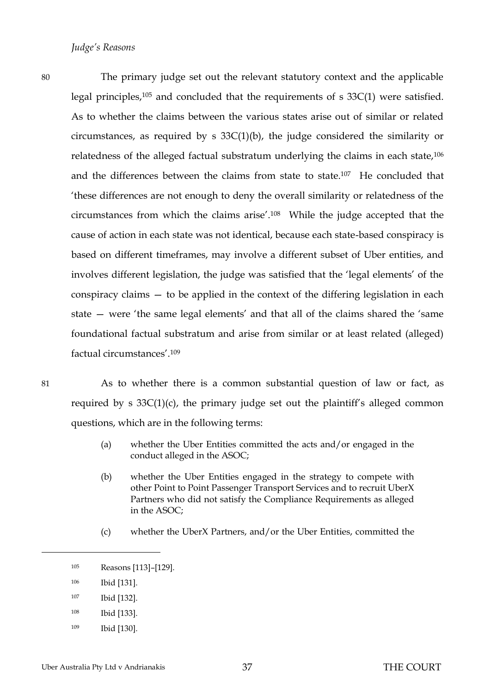<span id="page-39-0"></span>80 The primary judge set out the relevant statutory context and the applicable legal principles,<sup>105</sup> and concluded that the requirements of s 33C(1) were satisfied. As to whether the claims between the various states arise out of similar or related circumstances, as required by s  $33C(1)(b)$ , the judge considered the similarity or relatedness of the alleged factual substratum underlying the claims in each state,<sup>106</sup> and the differences between the claims from state to state.107 He concluded that 'these differences are not enough to deny the overall similarity or relatedness of the circumstances from which the claims arise'.<sup>108</sup> While the judge accepted that the cause of action in each state was not identical, because each state-based conspiracy is based on different timeframes, may involve a different subset of Uber entities, and involves different legislation, the judge was satisfied that the 'legal elements' of the conspiracy claims — to be applied in the context of the differing legislation in each state — were 'the same legal elements' and that all of the claims shared the 'same foundational factual substratum and arise from similar or at least related (alleged) factual circumstances'.<sup>109</sup>

 $\overline{a}$ 

81 As to whether there is a common substantial question of law or fact, as required by s 33C(1)(c), the primary judge set out the plaintiff's alleged common questions, which are in the following terms:

- (a) whether the Uber Entities committed the acts and/or engaged in the conduct alleged in the ASOC;
- (b) whether the Uber Entities engaged in the strategy to compete with other Point to Point Passenger Transport Services and to recruit UberX Partners who did not satisfy the Compliance Requirements as alleged in the ASOC;
- (c) whether the UberX Partners, and/or the Uber Entities, committed the

- <sup>108</sup> Ibid [133].
- <sup>109</sup> Ibid [130].

<sup>105</sup> Reasons [113]–[129].

<sup>106</sup> Ibid [131].

<sup>107</sup> Ibid [132].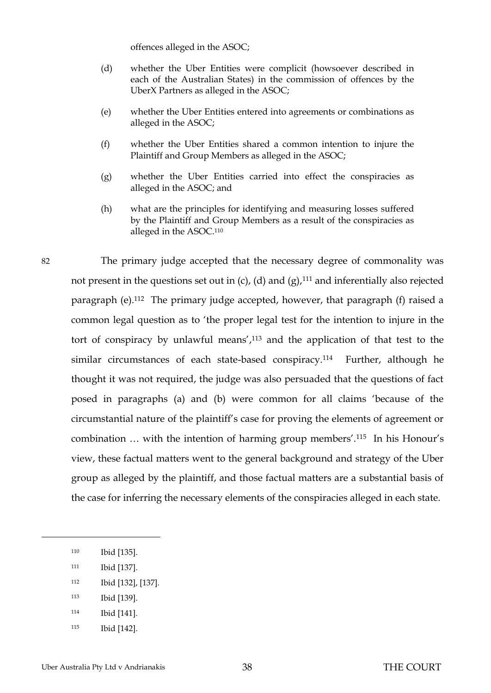offences alleged in the ASOC;

- (d) whether the Uber Entities were complicit (howsoever described in each of the Australian States) in the commission of offences by the UberX Partners as alleged in the ASOC;
- (e) whether the Uber Entities entered into agreements or combinations as alleged in the ASOC;
- (f) whether the Uber Entities shared a common intention to injure the Plaintiff and Group Members as alleged in the ASOC;
- (g) whether the Uber Entities carried into effect the conspiracies as alleged in the ASOC; and
- (h) what are the principles for identifying and measuring losses suffered by the Plaintiff and Group Members as a result of the conspiracies as alleged in the ASOC.<sup>110</sup>

82 The primary judge accepted that the necessary degree of commonality was not present in the questions set out in (c), (d) and (g), $111$  and inferentially also rejected paragraph (e).112 The primary judge accepted, however, that paragraph (f) raised a common legal question as to 'the proper legal test for the intention to injure in the tort of conspiracy by unlawful means', <sup>113</sup> and the application of that test to the similar circumstances of each state-based conspiracy.<sup>114</sup> Further, although he thought it was not required, the judge was also persuaded that the questions of fact posed in paragraphs (a) and (b) were common for all claims 'because of the circumstantial nature of the plaintiff's case for proving the elements of agreement or combination … with the intention of harming group members'.<sup>115</sup> In his Honour's view, these factual matters went to the general background and strategy of the Uber group as alleged by the plaintiff, and those factual matters are a substantial basis of the case for inferring the necessary elements of the conspiracies alleged in each state.

 $\overline{a}$ 

- <sup>111</sup> Ibid [137].
- <sup>112</sup> Ibid [132], [137].
- <sup>113</sup> Ibid [139].
- <sup>114</sup> Ibid [141].
- <sup>115</sup> Ibid [142].

Uber Australia Pty Ltd v Andrianakis 38 THE COURT

<sup>110</sup> Ibid [135].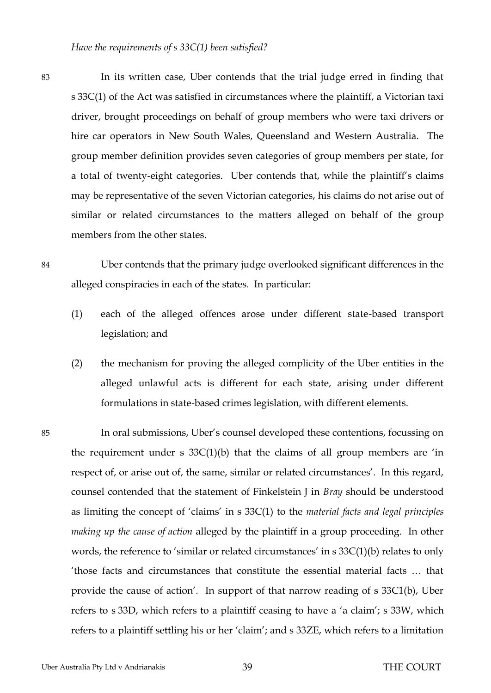<span id="page-41-0"></span>83 In its written case, Uber contends that the trial judge erred in finding that s 33C(1) of the Act was satisfied in circumstances where the plaintiff, a Victorian taxi driver, brought proceedings on behalf of group members who were taxi drivers or hire car operators in New South Wales, Queensland and Western Australia. The group member definition provides seven categories of group members per state, for a total of twenty-eight categories. Uber contends that, while the plaintiff's claims may be representative of the seven Victorian categories, his claims do not arise out of similar or related circumstances to the matters alleged on behalf of the group members from the other states.

- 84 Uber contends that the primary judge overlooked significant differences in the alleged conspiracies in each of the states. In particular:
	- (1) each of the alleged offences arose under different state-based transport legislation; and
	- (2) the mechanism for proving the alleged complicity of the Uber entities in the alleged unlawful acts is different for each state, arising under different formulations in state-based crimes legislation, with different elements.
- 85 In oral submissions, Uber's counsel developed these contentions, focussing on the requirement under s  $33C(1)(b)$  that the claims of all group members are 'in respect of, or arise out of, the same, similar or related circumstances'. In this regard, counsel contended that the statement of Finkelstein J in *Bray* should be understood as limiting the concept of 'claims' in s 33C(1) to the *material facts and legal principles making up the cause of action* alleged by the plaintiff in a group proceeding. In other words, the reference to 'similar or related circumstances' in s 33C(1)(b) relates to only 'those facts and circumstances that constitute the essential material facts … that provide the cause of action'. In support of that narrow reading of s 33C1(b), Uber refers to s 33D, which refers to a plaintiff ceasing to have a 'a claim'; s 33W, which refers to a plaintiff settling his or her 'claim'; and s 33ZE, which refers to a limitation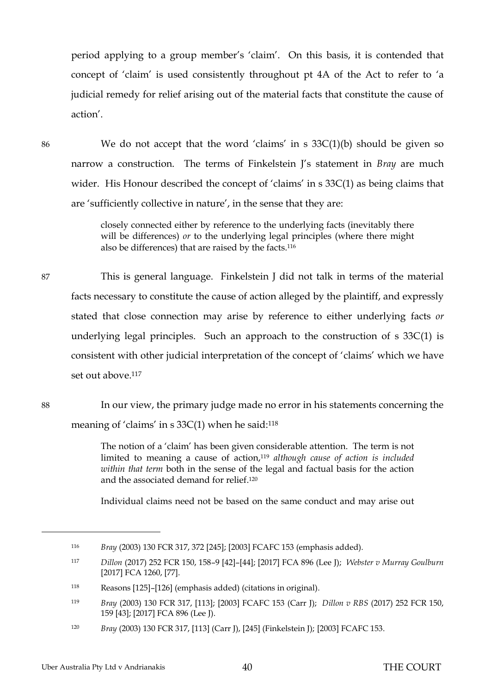period applying to a group member's 'claim'. On this basis, it is contended that concept of 'claim' is used consistently throughout pt 4A of the Act to refer to 'a judicial remedy for relief arising out of the material facts that constitute the cause of action'.

86 We do not accept that the word 'claims' in s 33C(1)(b) should be given so narrow a construction. The terms of Finkelstein J's statement in *Bray* are much wider. His Honour described the concept of 'claims' in s 33C(1) as being claims that are 'sufficiently collective in nature', in the sense that they are:

> closely connected either by reference to the underlying facts (inevitably there will be differences) *or* to the underlying legal principles (where there might also be differences) that are raised by the facts.<sup>116</sup>

87 This is general language. Finkelstein J did not talk in terms of the material facts necessary to constitute the cause of action alleged by the plaintiff, and expressly stated that close connection may arise by reference to either underlying facts *or* underlying legal principles. Such an approach to the construction of s 33C(1) is consistent with other judicial interpretation of the concept of 'claims' which we have set out above. 117

88 In our view, the primary judge made no error in his statements concerning the meaning of 'claims' in s 33C(1) when he said: 118

> The notion of a 'claim' has been given considerable attention. The term is not limited to meaning a cause of action,<sup>119</sup> *although cause of action is included within that term* both in the sense of the legal and factual basis for the action and the associated demand for relief.<sup>120</sup>

> Individual claims need not be based on the same conduct and may arise out

<sup>116</sup> *Bray* (2003) 130 FCR 317, 372 [245]; [2003] FCAFC 153 (emphasis added).

<sup>117</sup> *Dillon* (2017) 252 FCR 150, 158–9 [42]–[44]; [2017] FCA 896 (Lee J); *Webster v Murray Goulburn*  [2017] FCA 1260, [77].

<sup>118</sup> Reasons [125]–[126] (emphasis added) (citations in original).

<sup>119</sup> *Bray* (2003) 130 FCR 317, [113]; [2003] FCAFC 153 (Carr J); *Dillon v RBS* (2017) 252 FCR 150, 159 [43]; [2017] FCA 896 (Lee J).

<sup>120</sup> *Bray* (2003) 130 FCR 317, [113] (Carr J), [245] (Finkelstein J); [2003] FCAFC 153.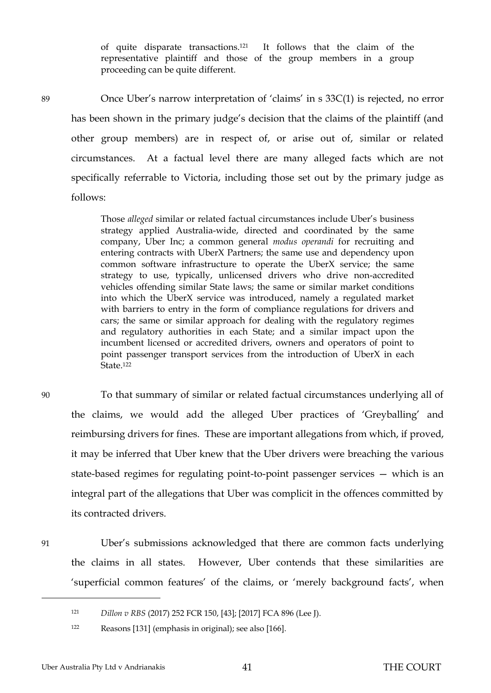of quite disparate transactions.121 It follows that the claim of the representative plaintiff and those of the group members in a group proceeding can be quite different.

89 Once Uber's narrow interpretation of 'claims' in s 33C(1) is rejected, no error has been shown in the primary judge's decision that the claims of the plaintiff (and other group members) are in respect of, or arise out of, similar or related circumstances. At a factual level there are many alleged facts which are not specifically referrable to Victoria, including those set out by the primary judge as follows:

> Those *alleged* similar or related factual circumstances include Uber's business strategy applied Australia-wide, directed and coordinated by the same company, Uber Inc; a common general *modus operandi* for recruiting and entering contracts with UberX Partners; the same use and dependency upon common software infrastructure to operate the UberX service; the same strategy to use, typically, unlicensed drivers who drive non-accredited vehicles offending similar State laws; the same or similar market conditions into which the UberX service was introduced, namely a regulated market with barriers to entry in the form of compliance regulations for drivers and cars; the same or similar approach for dealing with the regulatory regimes and regulatory authorities in each State; and a similar impact upon the incumbent licensed or accredited drivers, owners and operators of point to point passenger transport services from the introduction of UberX in each State.<sup>122</sup>

90 To that summary of similar or related factual circumstances underlying all of the claims, we would add the alleged Uber practices of 'Greyballing' and reimbursing drivers for fines. These are important allegations from which, if proved, it may be inferred that Uber knew that the Uber drivers were breaching the various state-based regimes for regulating point-to-point passenger services — which is an integral part of the allegations that Uber was complicit in the offences committed by its contracted drivers.

<sup>91</sup> Uber's submissions acknowledged that there are common facts underlying the claims in all states. However, Uber contends that these similarities are 'superficial common features' of the claims, or 'merely background facts', when

<sup>121</sup> *Dillon v RBS* (2017) 252 FCR 150, [43]; [2017] FCA 896 (Lee J).

<sup>122</sup> Reasons [131] (emphasis in original); see also [166].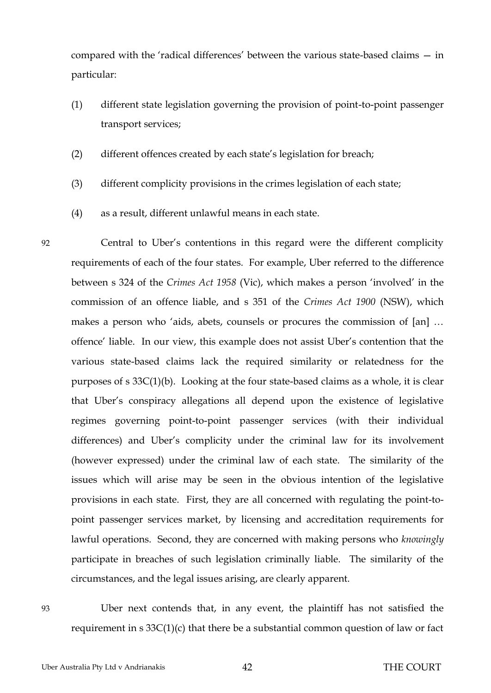compared with the 'radical differences' between the various state-based claims — in particular:

- (1) different state legislation governing the provision of point-to-point passenger transport services;
- (2) different offences created by each state's legislation for breach;
- (3) different complicity provisions in the crimes legislation of each state;
- (4) as a result, different unlawful means in each state.

92 Central to Uber's contentions in this regard were the different complicity requirements of each of the four states. For example, Uber referred to the difference between s 324 of the *Crimes Act 1958* (Vic), which makes a person 'involved' in the commission of an offence liable, and s 351 of the *Crimes Act 1900* (NSW), which makes a person who 'aids, abets, counsels or procures the commission of [an] … offence' liable. In our view, this example does not assist Uber's contention that the various state-based claims lack the required similarity or relatedness for the purposes of s 33C(1)(b). Looking at the four state-based claims as a whole, it is clear that Uber's conspiracy allegations all depend upon the existence of legislative regimes governing point-to-point passenger services (with their individual differences) and Uber's complicity under the criminal law for its involvement (however expressed) under the criminal law of each state. The similarity of the issues which will arise may be seen in the obvious intention of the legislative provisions in each state. First, they are all concerned with regulating the point-topoint passenger services market, by licensing and accreditation requirements for lawful operations. Second, they are concerned with making persons who *knowingly* participate in breaches of such legislation criminally liable. The similarity of the circumstances, and the legal issues arising, are clearly apparent.

93 Uber next contends that, in any event, the plaintiff has not satisfied the requirement in s 33C(1)(c) that there be a substantial common question of law or fact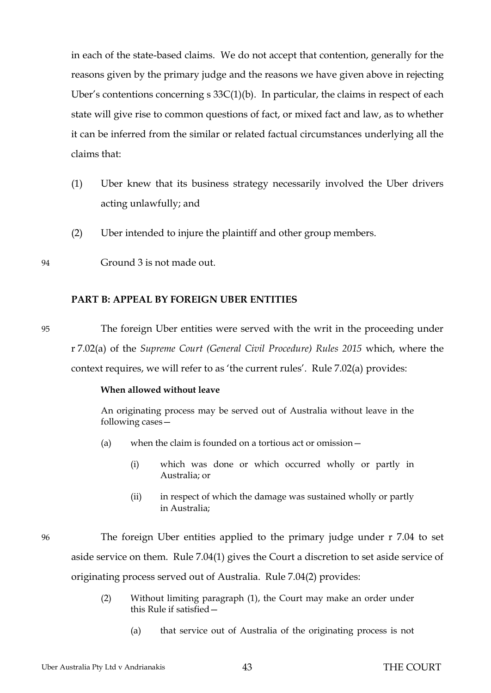in each of the state-based claims. We do not accept that contention, generally for the reasons given by the primary judge and the reasons we have given above in rejecting Uber's contentions concerning  $s \frac{33C(1)}{b}$ . In particular, the claims in respect of each state will give rise to common questions of fact, or mixed fact and law, as to whether it can be inferred from the similar or related factual circumstances underlying all the claims that:

- (1) Uber knew that its business strategy necessarily involved the Uber drivers acting unlawfully; and
- (2) Uber intended to injure the plaintiff and other group members.
- <span id="page-45-0"></span>94 Ground 3 is not made out.

## **PART B: APPEAL BY FOREIGN UBER ENTITIES**

95 The foreign Uber entities were served with the writ in the proceeding under r 7.02(a) of the *Supreme Court (General Civil Procedure) Rules 2015* which, where the context requires, we will refer to as 'the current rules'. Rule 7.02(a) provides:

#### **When allowed without leave**

An originating process may be served out of Australia without leave in the following cases—

- (a) when the claim is founded on a tortious act or omission—
	- (i) which was done or which occurred wholly or partly in Australia; or
	- (ii) in respect of which the damage was sustained wholly or partly in Australia;

96 The foreign Uber entities applied to the primary judge under r 7.04 to set aside service on them. Rule 7.04(1) gives the Court a discretion to set aside service of originating process served out of Australia. Rule 7.04(2) provides:

- (2) Without limiting paragraph (1), the Court may make an order under this Rule if satisfied—
	- (a) that service out of Australia of the originating process is not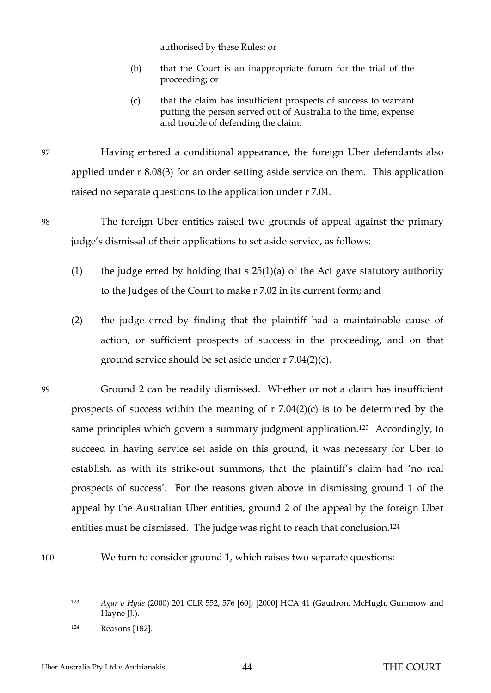authorised by these Rules; or

- (b) that the Court is an inappropriate forum for the trial of the proceeding; or
- (c) that the claim has insufficient prospects of success to warrant putting the person served out of Australia to the time, expense and trouble of defending the claim.

97 Having entered a conditional appearance, the foreign Uber defendants also applied under r 8.08(3) for an order setting aside service on them. This application raised no separate questions to the application under r 7.04.

- 98 The foreign Uber entities raised two grounds of appeal against the primary judge's dismissal of their applications to set aside service, as follows:
	- (1) the judge erred by holding that  $s$  25(1)(a) of the Act gave statutory authority to the Judges of the Court to make r 7.02 in its current form; and
	- (2) the judge erred by finding that the plaintiff had a maintainable cause of action, or sufficient prospects of success in the proceeding, and on that ground service should be set aside under r 7.04(2)(c).
- 99 Ground 2 can be readily dismissed. Whether or not a claim has insufficient prospects of success within the meaning of r 7.04(2)(c) is to be determined by the same principles which govern a summary judgment application.<sup>123</sup> Accordingly, to succeed in having service set aside on this ground, it was necessary for Uber to establish, as with its strike-out summons, that the plaintiff's claim had 'no real prospects of success'. For the reasons given above in dismissing ground 1 of the appeal by the Australian Uber entities, ground 2 of the appeal by the foreign Uber entities must be dismissed. The judge was right to reach that conclusion.<sup>124</sup>
- 100 We turn to consider ground 1, which raises two separate questions:

<sup>123</sup> *Agar v Hyde* (2000) 201 CLR 552, 576 [60]; [2000] HCA 41 (Gaudron, McHugh, Gummow and Hayne JJ.).

<sup>124</sup> Reasons [182].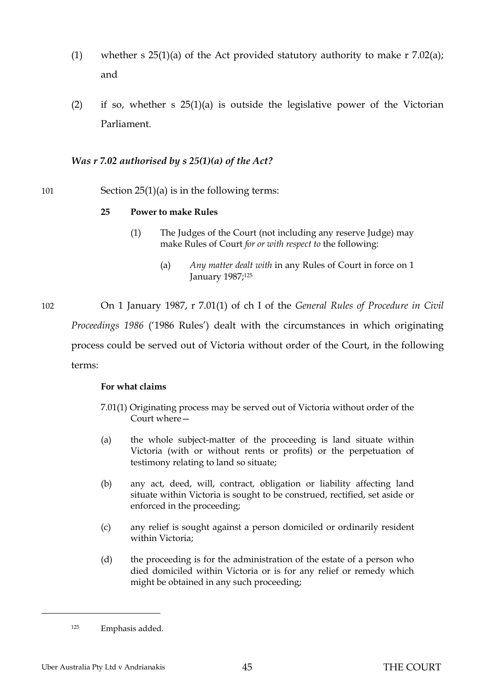- (1) whether s  $25(1)(a)$  of the Act provided statutory authority to make r 7.02(a); and
- (2) if so, whether s  $25(1)(a)$  is outside the legislative power of the Victorian Parliament.

## <span id="page-47-0"></span>*Was r 7.02 authorised by s 25(1)(a) of the Act?*

## 101 Section 25(1)(a) is in the following terms:

## **25 Power to make Rules**

- (1) The Judges of the Court (not including any reserve Judge) may make Rules of Court *for or with respect to* the following:
	- (a) *Any matter dealt with* in any Rules of Court in force on 1 January 1987;<sup>125</sup>

102 On 1 January 1987, r 7.01(1) of ch I of the *General Rules of Procedure in Civil Proceedings 1986* ('1986 Rules') dealt with the circumstances in which originating process could be served out of Victoria without order of the Court, in the following terms:

#### **For what claims**

- 7.01(1) Originating process may be served out of Victoria without order of the Court where—
- (a) the whole subject-matter of the proceeding is land situate within Victoria (with or without rents or profits) or the perpetuation of testimony relating to land so situate;
- (b) any act, deed, will, contract, obligation or liability affecting land situate within Victoria is sought to be construed, rectified, set aside or enforced in the proceeding;
- (c) any relief is sought against a person domiciled or ordinarily resident within Victoria;
- (d) the proceeding is for the administration of the estate of a person who died domiciled within Victoria or is for any relief or remedy which might be obtained in any such proceeding;

<sup>125</sup> Emphasis added.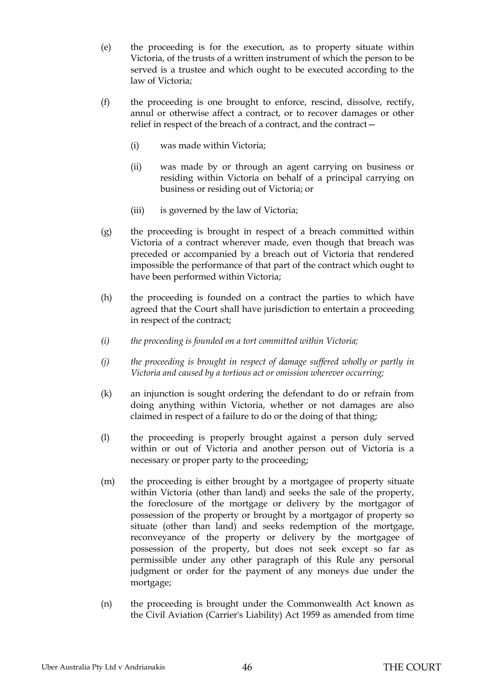- (e) the proceeding is for the execution, as to property situate within Victoria, of the trusts of a written instrument of which the person to be served is a trustee and which ought to be executed according to the law of Victoria;
- (f) the proceeding is one brought to enforce, rescind, dissolve, rectify, annul or otherwise affect a contract, or to recover damages or other relief in respect of the breach of a contract, and the contract—
	- (i) was made within Victoria;
	- (ii) was made by or through an agent carrying on business or residing within Victoria on behalf of a principal carrying on business or residing out of Victoria; or
	- (iii) is governed by the law of Victoria;
- (g) the proceeding is brought in respect of a breach committed within Victoria of a contract wherever made, even though that breach was preceded or accompanied by a breach out of Victoria that rendered impossible the performance of that part of the contract which ought to have been performed within Victoria;
- (h) the proceeding is founded on a contract the parties to which have agreed that the Court shall have jurisdiction to entertain a proceeding in respect of the contract;
- *(i) the proceeding is founded on a tort committed within Victoria;*
- *(j) the proceeding is brought in respect of damage suffered wholly or partly in Victoria and caused by a tortious act or omission wherever occurring;*
- (k) an injunction is sought ordering the defendant to do or refrain from doing anything within Victoria, whether or not damages are also claimed in respect of a failure to do or the doing of that thing;
- (l) the proceeding is properly brought against a person duly served within or out of Victoria and another person out of Victoria is a necessary or proper party to the proceeding;
- (m) the proceeding is either brought by a mortgagee of property situate within Victoria (other than land) and seeks the sale of the property, the foreclosure of the mortgage or delivery by the mortgagor of possession of the property or brought by a mortgagor of property so situate (other than land) and seeks redemption of the mortgage, reconveyance of the property or delivery by the mortgagee of possession of the property, but does not seek except so far as permissible under any other paragraph of this Rule any personal judgment or order for the payment of any moneys due under the mortgage;
- (n) the proceeding is brought under the Commonwealth Act known as the Civil Aviation (Carrier's Liability) Act 1959 as amended from time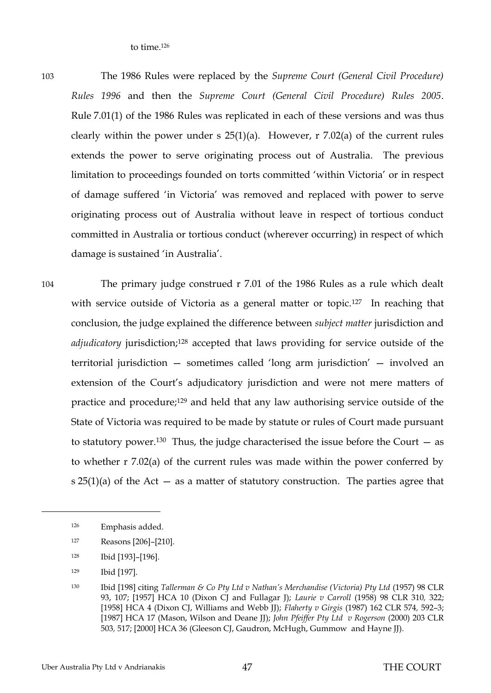to time.<sup>126</sup>

103 The 1986 Rules were replaced by the *Supreme Court (General Civil Procedure) Rules 1996* and then the *Supreme Court (General Civil Procedure) Rules 2005*. Rule 7.01(1) of the 1986 Rules was replicated in each of these versions and was thus clearly within the power under s  $25(1)(a)$ . However, r 7.02(a) of the current rules extends the power to serve originating process out of Australia. The previous limitation to proceedings founded on torts committed 'within Victoria' or in respect of damage suffered 'in Victoria' was removed and replaced with power to serve originating process out of Australia without leave in respect of tortious conduct committed in Australia or tortious conduct (wherever occurring) in respect of which damage is sustained 'in Australia'.

104 The primary judge construed r 7.01 of the 1986 Rules as a rule which dealt with service outside of Victoria as a general matter or topic.<sup>127</sup> In reaching that conclusion, the judge explained the difference between *subject matter* jurisdiction and *adjudicatory* jurisdiction;<sup>128</sup> accepted that laws providing for service outside of the territorial jurisdiction — sometimes called 'long arm jurisdiction' — involved an extension of the Court's adjudicatory jurisdiction and were not mere matters of practice and procedure;<sup>129</sup> and held that any law authorising service outside of the State of Victoria was required to be made by statute or rules of Court made pursuant to statutory power.<sup>130</sup> Thus, the judge characterised the issue before the Court  $-$  as to whether r 7.02(a) of the current rules was made within the power conferred by s  $25(1)(a)$  of the Act – as a matter of statutory construction. The parties agree that

<sup>126</sup> Emphasis added.

<sup>127</sup> Reasons [206]–[210].

<sup>128</sup> Ibid [193]–[196].

<sup>129</sup> Ibid [197].

<sup>130</sup> Ibid [198] citing *Tallerman & Co Pty Ltd v Nathan's Merchandise (Victoria) Pty Ltd* (1957) 98 CLR 93, 107; [1957] HCA 10 (Dixon CJ and Fullagar J); *Laurie v Carroll* (1958) 98 CLR 310*,* 322; [1958] HCA 4 (Dixon CJ, Williams and Webb JJ); *Flaherty v Girgis* (1987) 162 CLR 574*,* 592–3; [1987] HCA 17 (Mason, Wilson and Deane JJ); *John Pfeiffer Pty Ltd v Rogerson* (2000) 203 CLR 503*,* 517; [2000] HCA 36 (Gleeson CJ, Gaudron, McHugh, Gummow and Hayne JJ).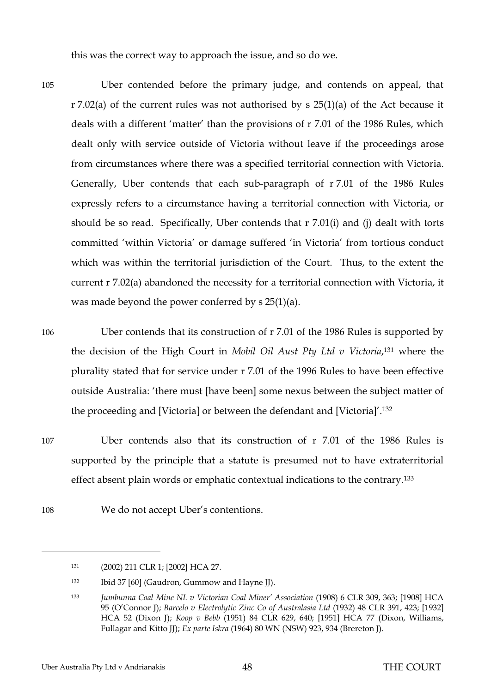this was the correct way to approach the issue, and so do we.

105 Uber contended before the primary judge, and contends on appeal, that r 7.02(a) of the current rules was not authorised by s 25(1)(a) of the Act because it deals with a different 'matter' than the provisions of r 7.01 of the 1986 Rules, which dealt only with service outside of Victoria without leave if the proceedings arose from circumstances where there was a specified territorial connection with Victoria. Generally, Uber contends that each sub-paragraph of r 7.01 of the 1986 Rules expressly refers to a circumstance having a territorial connection with Victoria, or should be so read. Specifically, Uber contends that r 7.01(i) and (j) dealt with torts committed 'within Victoria' or damage suffered 'in Victoria' from tortious conduct which was within the territorial jurisdiction of the Court. Thus, to the extent the current r 7.02(a) abandoned the necessity for a territorial connection with Victoria, it was made beyond the power conferred by s 25(1)(a).

 $\overline{a}$ 

106 Uber contends that its construction of r 7.01 of the 1986 Rules is supported by the decision of the High Court in *Mobil Oil Aust Pty Ltd v Victoria*, <sup>131</sup> where the plurality stated that for service under r 7.01 of the 1996 Rules to have been effective outside Australia: 'there must [have been] some nexus between the subject matter of the proceeding and [Victoria] or between the defendant and [Victoria]'.<sup>132</sup>

- 107 Uber contends also that its construction of r 7.01 of the 1986 Rules is supported by the principle that a statute is presumed not to have extraterritorial effect absent plain words or emphatic contextual indications to the contrary.<sup>133</sup>
- 108 We do not accept Uber's contentions.

<sup>131</sup> (2002) 211 CLR 1; [2002] HCA 27.

<sup>132</sup> Ibid 37 [60] (Gaudron, Gummow and Hayne JJ).

<sup>133</sup> *Jumbunna Coal Mine NL v Victorian Coal Miner' Association* (1908) 6 CLR 309, 363; [1908] HCA 95 (O'Connor J); *Barcelo v Electrolytic Zinc Co of Australasia Ltd* (1932) 48 CLR 391, 423; [1932] HCA 52 (Dixon J); *Koop v Bebb* (1951) 84 CLR 629, 640; [1951] HCA 77 (Dixon, Williams, Fullagar and Kitto JJ); *Ex parte Iskra* (1964) 80 WN (NSW) 923, 934 (Brereton J).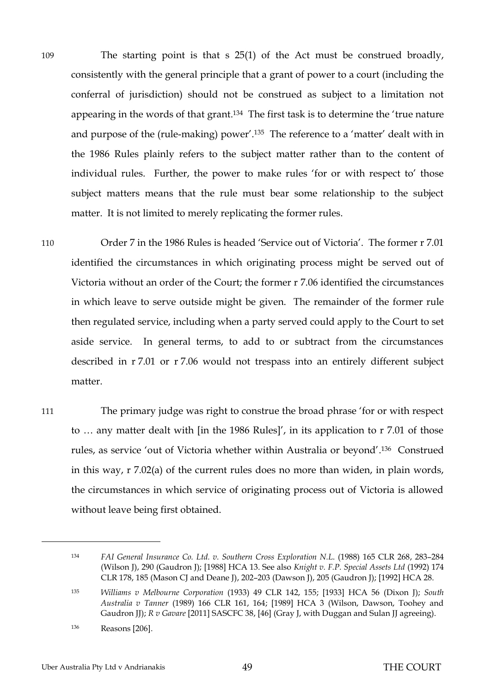109 The starting point is that s 25(1) of the Act must be construed broadly, consistently with the general principle that a grant of power to a court (including the conferral of jurisdiction) should not be construed as subject to a limitation not appearing in the words of that grant. <sup>134</sup> The first task is to determine the 'true nature and purpose of the (rule-making) power'.135 The reference to a 'matter' dealt with in the 1986 Rules plainly refers to the subject matter rather than to the content of individual rules. Further, the power to make rules 'for or with respect to' those subject matters means that the rule must bear some relationship to the subject matter. It is not limited to merely replicating the former rules.

110 Order 7 in the 1986 Rules is headed 'Service out of Victoria'. The former r 7.01 identified the circumstances in which originating process might be served out of Victoria without an order of the Court; the former r 7.06 identified the circumstances in which leave to serve outside might be given. The remainder of the former rule then regulated service, including when a party served could apply to the Court to set aside service. In general terms, to add to or subtract from the circumstances described in r 7.01 or r 7.06 would not trespass into an entirely different subject matter.

111 The primary judge was right to construe the broad phrase 'for or with respect to … any matter dealt with [in the 1986 Rules]', in its application to r 7.01 of those rules, as service 'out of Victoria whether within Australia or beyond'. 136 Construed in this way, r 7.02(a) of the current rules does no more than widen, in plain words, the circumstances in which service of originating process out of Victoria is allowed without leave being first obtained.

<sup>134</sup> *FAI General Insurance Co. Ltd. v. Southern Cross Exploration N.L*. (1988) 165 CLR 268, 283–284 (Wilson J), 290 (Gaudron J); [1988] HCA 13. See also *Knight v. F.P. Special Assets Ltd* (1992) 174 CLR 178, 185 (Mason CJ and Deane J), 202–203 (Dawson J), 205 (Gaudron J); [1992] HCA 28.

<sup>135</sup> *Williams v Melbourne Corporation* (1933) 49 CLR 142, 155; [1933] HCA 56 (Dixon J); *South Australia v Tanner* (1989) 166 CLR 161, 164; [1989] HCA 3 (Wilson, Dawson, Toohey and Gaudron JJ); *R v Gavare* [2011] SASCFC 38, [46] (Gray J, with Duggan and Sulan JJ agreeing).

<sup>136</sup> Reasons [206].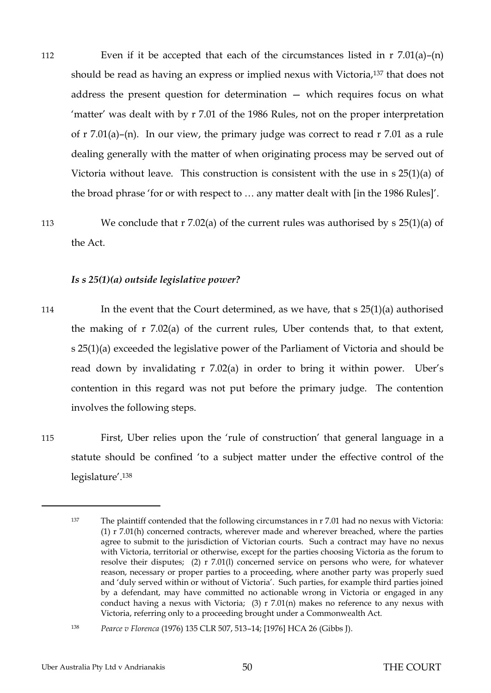112 Even if it be accepted that each of the circumstances listed in r 7.01(a)–(n) should be read as having an express or implied nexus with Victoria,<sup>137</sup> that does not address the present question for determination — which requires focus on what 'matter' was dealt with by r 7.01 of the 1986 Rules, not on the proper interpretation of r 7.01(a)–(n). In our view, the primary judge was correct to read r 7.01 as a rule dealing generally with the matter of when originating process may be served out of Victoria without leave. This construction is consistent with the use in s 25(1)(a) of the broad phrase 'for or with respect to … any matter dealt with [in the 1986 Rules]'.

<span id="page-52-0"></span>113 We conclude that r 7.02(a) of the current rules was authorised by s 25(1)(a) of the Act.

#### *Is s 25(1)(a) outside legislative power?*

- 114 In the event that the Court determined, as we have, that s 25(1)(a) authorised the making of r 7.02(a) of the current rules, Uber contends that, to that extent, s 25(1)(a) exceeded the legislative power of the Parliament of Victoria and should be read down by invalidating r 7.02(a) in order to bring it within power. Uber's contention in this regard was not put before the primary judge. The contention involves the following steps.
- 115 First, Uber relies upon the 'rule of construction' that general language in a statute should be confined 'to a subject matter under the effective control of the legislature'.<sup>138</sup>

<sup>137</sup> The plaintiff contended that the following circumstances in r 7.01 had no nexus with Victoria: (1) r 7.01(h) concerned contracts, wherever made and wherever breached, where the parties agree to submit to the jurisdiction of Victorian courts. Such a contract may have no nexus with Victoria, territorial or otherwise, except for the parties choosing Victoria as the forum to resolve their disputes; (2) r 7.01(l) concerned service on persons who were, for whatever reason, necessary or proper parties to a proceeding, where another party was properly sued and 'duly served within or without of Victoria'. Such parties, for example third parties joined by a defendant, may have committed no actionable wrong in Victoria or engaged in any conduct having a nexus with Victoria; (3)  $r$  7.01(n) makes no reference to any nexus with Victoria, referring only to a proceeding brought under a Commonwealth Act.

<sup>138</sup> *Pearce v Florenca* (1976) 135 CLR 507, 513–14; [1976] HCA 26 (Gibbs J).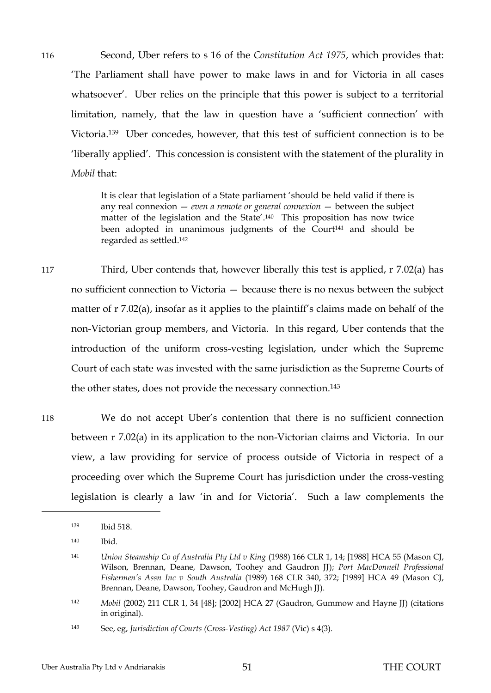116 Second, Uber refers to s 16 of the *Constitution Act 1975*, which provides that: 'The Parliament shall have power to make laws in and for Victoria in all cases whatsoever'. Uber relies on the principle that this power is subject to a territorial limitation, namely, that the law in question have a 'sufficient connection' with Victoria.139 Uber concedes, however, that this test of sufficient connection is to be 'liberally applied'. This concession is consistent with the statement of the plurality in *Mobil* that:

> It is clear that legislation of a State parliament 'should be held valid if there is any real connexion — *even a remote or general connexion* — between the subject matter of the legislation and the State'. <sup>140</sup> This proposition has now twice been adopted in unanimous judgments of the Court<sup>141</sup> and should be regarded as settled.<sup>142</sup>

117 Third, Uber contends that, however liberally this test is applied, r 7.02(a) has no sufficient connection to Victoria — because there is no nexus between the subject matter of r 7.02(a), insofar as it applies to the plaintiff's claims made on behalf of the non-Victorian group members, and Victoria. In this regard, Uber contends that the introduction of the uniform cross-vesting legislation, under which the Supreme Court of each state was invested with the same jurisdiction as the Supreme Courts of the other states, does not provide the necessary connection. <sup>143</sup>

118 We do not accept Uber's contention that there is no sufficient connection between r 7.02(a) in its application to the non-Victorian claims and Victoria. In our view, a law providing for service of process outside of Victoria in respect of a proceeding over which the Supreme Court has jurisdiction under the cross-vesting legislation is clearly a law 'in and for Victoria'. Such a law complements the

<sup>139</sup> Ibid 518.

<sup>140</sup> Ibid.

<sup>141</sup> *Union Steamship Co of Australia Pty Ltd v King* (1988) 166 CLR 1, 14; [1988] HCA 55 (Mason CJ, Wilson, Brennan, Deane, Dawson, Toohey and Gaudron JJ); *Port MacDonnell Professional Fishermen's Assn Inc v South Australia* (1989) 168 CLR 340, 372; [1989] HCA 49 (Mason CJ, Brennan, Deane, Dawson, Toohey, Gaudron and McHugh JJ).

<sup>142</sup> *Mobil* (2002) 211 CLR 1, 34 [48]; [2002] HCA 27 (Gaudron, Gummow and Hayne JJ) (citations in original).

<sup>143</sup> See, eg, *Jurisdiction of Courts (Cross-Vesting) Act 1987* (Vic) s 4(3).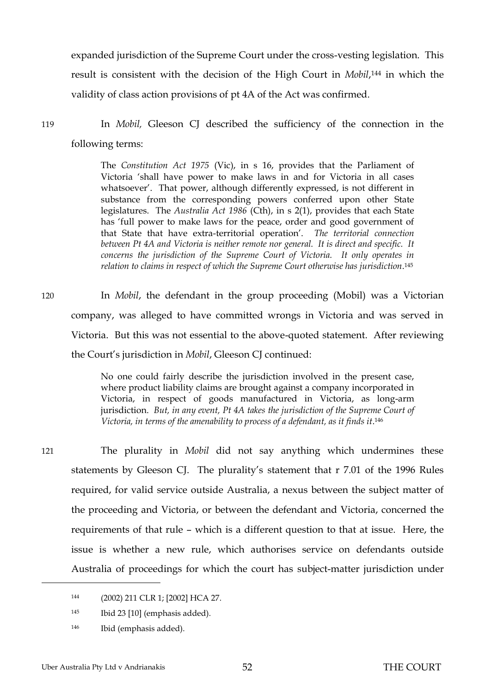expanded jurisdiction of the Supreme Court under the cross-vesting legislation. This result is consistent with the decision of the High Court in *Mobil*, <sup>144</sup> in which the validity of class action provisions of pt 4A of the Act was confirmed.

119 In *Mobil,* Gleeson CJ described the sufficiency of the connection in the following terms:

> The *Constitution Act 1975* (Vic), in s 16, provides that the Parliament of Victoria 'shall have power to make laws in and for Victoria in all cases whatsoever'. That power, although differently expressed, is not different in substance from the corresponding powers conferred upon other State legislatures. The *Australia Act 1986* (Cth), in s 2(1), provides that each State has 'full power to make laws for the peace, order and good government of that State that have extra-territorial operation'. *The territorial connection between Pt 4A and Victoria is neither remote nor general. It is direct and specific. It concerns the jurisdiction of the Supreme Court of Victoria. It only operates in relation to claims in respect of which the Supreme Court otherwise has jurisdiction*. <sup>145</sup>

120 In *Mobil*, the defendant in the group proceeding (Mobil) was a Victorian company, was alleged to have committed wrongs in Victoria and was served in Victoria. But this was not essential to the above-quoted statement. After reviewing the Court's jurisdiction in *Mobil*, Gleeson CJ continued:

> No one could fairly describe the jurisdiction involved in the present case, where product liability claims are brought against a company incorporated in Victoria, in respect of goods manufactured in Victoria, as long-arm jurisdiction. *But, in any event, Pt 4A takes the jurisdiction of the Supreme Court of*  Victoria, in terms of the amenability to process of a defendant, as it finds it.<sup>146</sup>

 $\overline{a}$ 

121 The plurality in *Mobil* did not say anything which undermines these statements by Gleeson CJ. The plurality's statement that r 7.01 of the 1996 Rules required, for valid service outside Australia, a nexus between the subject matter of the proceeding and Victoria, or between the defendant and Victoria, concerned the requirements of that rule – which is a different question to that at issue. Here, the issue is whether a new rule, which authorises service on defendants outside Australia of proceedings for which the court has subject-matter jurisdiction under

<sup>144</sup> (2002) 211 CLR 1; [2002] HCA 27.

<sup>145</sup> Ibid 23 [10] (emphasis added).

<sup>146</sup> Ibid (emphasis added).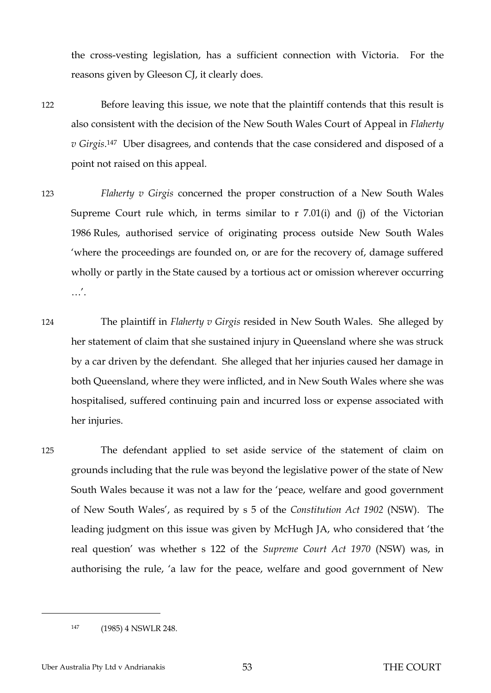the cross-vesting legislation, has a sufficient connection with Victoria. For the reasons given by Gleeson CJ, it clearly does.

- 122 Before leaving this issue, we note that the plaintiff contends that this result is also consistent with the decision of the New South Wales Court of Appeal in *Flaherty v Girgis*. <sup>147</sup> Uber disagrees, and contends that the case considered and disposed of a point not raised on this appeal.
- 123 *Flaherty v Girgis* concerned the proper construction of a New South Wales Supreme Court rule which, in terms similar to r 7.01(i) and (j) of the Victorian 1986 Rules, authorised service of originating process outside New South Wales 'where the proceedings are founded on, or are for the recovery of, damage suffered wholly or partly in the State caused by a tortious act or omission wherever occurring …'.
- 124 The plaintiff in *Flaherty v Girgis* resided in New South Wales. She alleged by her statement of claim that she sustained injury in Queensland where she was struck by a car driven by the defendant. She alleged that her injuries caused her damage in both Queensland, where they were inflicted, and in New South Wales where she was hospitalised, suffered continuing pain and incurred loss or expense associated with her injuries.

125 The defendant applied to set aside service of the statement of claim on grounds including that the rule was beyond the legislative power of the state of New South Wales because it was not a law for the 'peace, welfare and good government of New South Wales', as required by s 5 of the *Constitution Act 1902* (NSW). The leading judgment on this issue was given by McHugh JA, who considered that 'the real question' was whether s 122 of the *Supreme Court Act 1970* (NSW) was, in authorising the rule, 'a law for the peace, welfare and good government of New

<sup>147</sup> (1985) 4 NSWLR 248.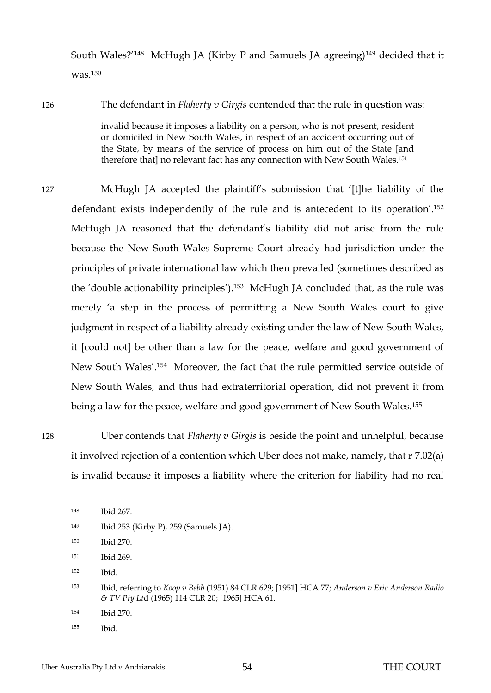South Wales?'148 McHugh JA (Kirby P and Samuels JA agreeing)<sup>149</sup> decided that it was.<sup>150</sup>

126 The defendant in *Flaherty v Girgis* contended that the rule in question was:

invalid because it imposes a liability on a person, who is not present, resident or domiciled in New South Wales, in respect of an accident occurring out of the State, by means of the service of process on him out of the State [and therefore that] no relevant fact has any connection with New South Wales.<sup>151</sup>

127 McHugh JA accepted the plaintiff's submission that '[t]he liability of the defendant exists independently of the rule and is antecedent to its operation'.<sup>152</sup> McHugh JA reasoned that the defendant's liability did not arise from the rule because the New South Wales Supreme Court already had jurisdiction under the principles of private international law which then prevailed (sometimes described as the 'double actionability principles'). <sup>153</sup> McHugh JA concluded that, as the rule was merely 'a step in the process of permitting a New South Wales court to give judgment in respect of a liability already existing under the law of New South Wales, it [could not] be other than a law for the peace, welfare and good government of New South Wales'.154 Moreover, the fact that the rule permitted service outside of New South Wales, and thus had extraterritorial operation, did not prevent it from being a law for the peace, welfare and good government of New South Wales.<sup>155</sup>

128 Uber contends that *Flaherty v Girgis* is beside the point and unhelpful, because it involved rejection of a contention which Uber does not make, namely, that r 7.02(a) is invalid because it imposes a liability where the criterion for liability had no real

 $\overline{a}$ 

<sup>153</sup> Ibid, referring to *Koop v Bebb* (1951) 84 CLR 629; [1951] HCA 77; *Anderson v Eric Anderson Radio & TV Pty Lt*d (1965) 114 CLR 20; [1965] HCA 61.

<sup>155</sup> Ibid.

<sup>148</sup> Ibid 267.

<sup>149</sup> Ibid 253 (Kirby P), 259 (Samuels JA).

<sup>150</sup> Ibid 270.

<sup>151</sup> Ibid 269.

<sup>152</sup> Ibid.

<sup>154</sup> Ibid 270.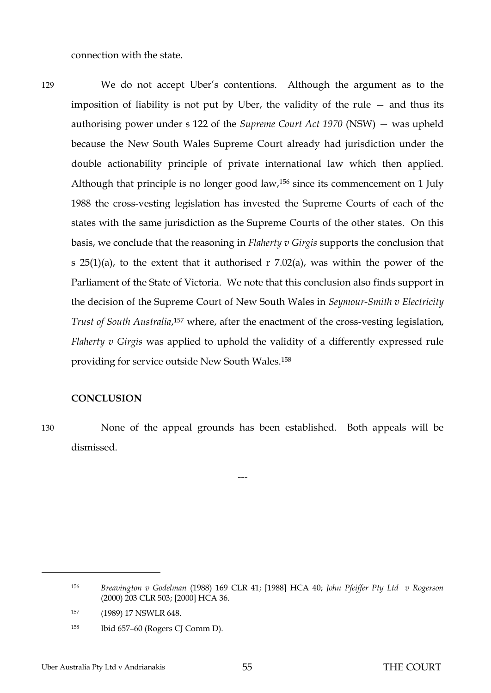connection with the state.

129 We do not accept Uber's contentions. Although the argument as to the imposition of liability is not put by Uber, the validity of the rule — and thus its authorising power under s 122 of the *Supreme Court Act 1970* (NSW) — was upheld because the New South Wales Supreme Court already had jurisdiction under the double actionability principle of private international law which then applied. Although that principle is no longer good law,<sup>156</sup> since its commencement on 1 July 1988 the cross-vesting legislation has invested the Supreme Courts of each of the states with the same jurisdiction as the Supreme Courts of the other states. On this basis, we conclude that the reasoning in *Flaherty v Girgis* supports the conclusion that s  $25(1)(a)$ , to the extent that it authorised r  $7.02(a)$ , was within the power of the Parliament of the State of Victoria. We note that this conclusion also finds support in the decision of the Supreme Court of New South Wales in *Seymour-Smith v Electricity*  Trust of South Australia,<sup>157</sup> where, after the enactment of the cross-vesting legislation, *Flaherty v Girgis* was applied to uphold the validity of a differently expressed rule providing for service outside New South Wales.<sup>158</sup>

#### <span id="page-57-0"></span>**CONCLUSION**

 $\overline{a}$ 

130 None of the appeal grounds has been established. Both appeals will be dismissed.

---

<sup>158</sup> Ibid 657–60 (Rogers CJ Comm D).

<sup>156</sup> *Breavington v Godelman* (1988) 169 CLR 41; [1988] HCA 40; *John Pfeiffer Pty Ltd v Rogerson* (2000) 203 CLR 503; [2000] HCA 36*.* 

<sup>157</sup> (1989) 17 NSWLR 648.